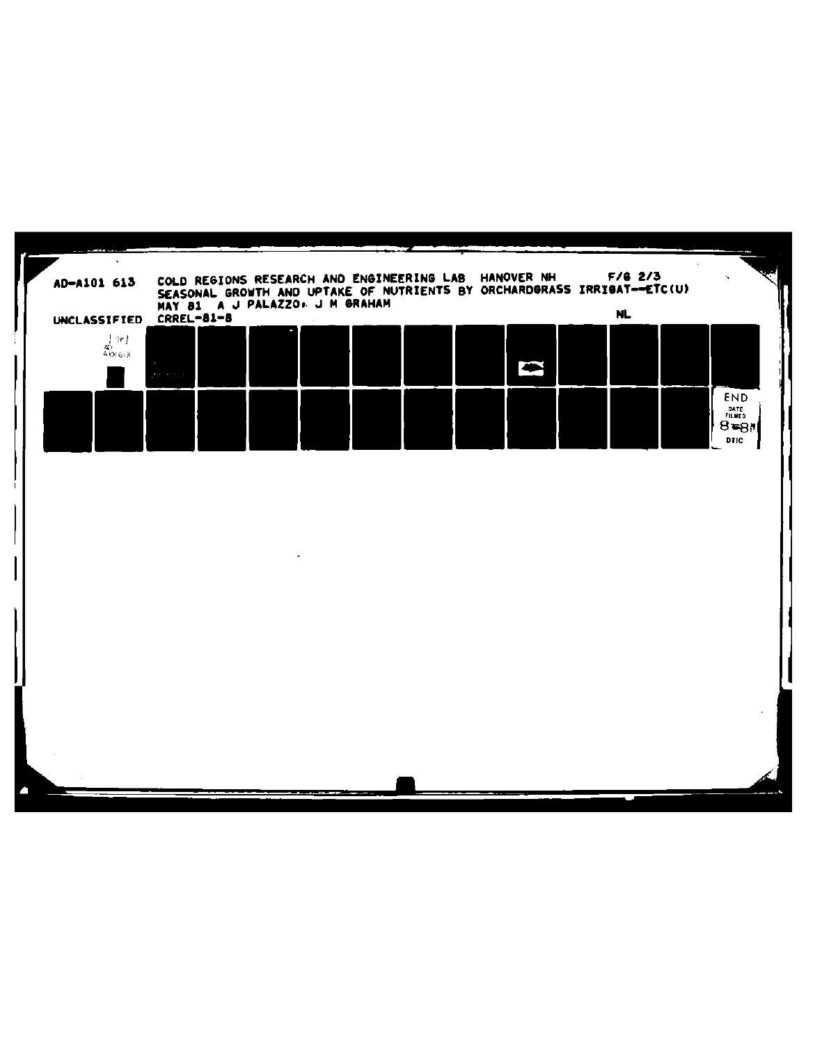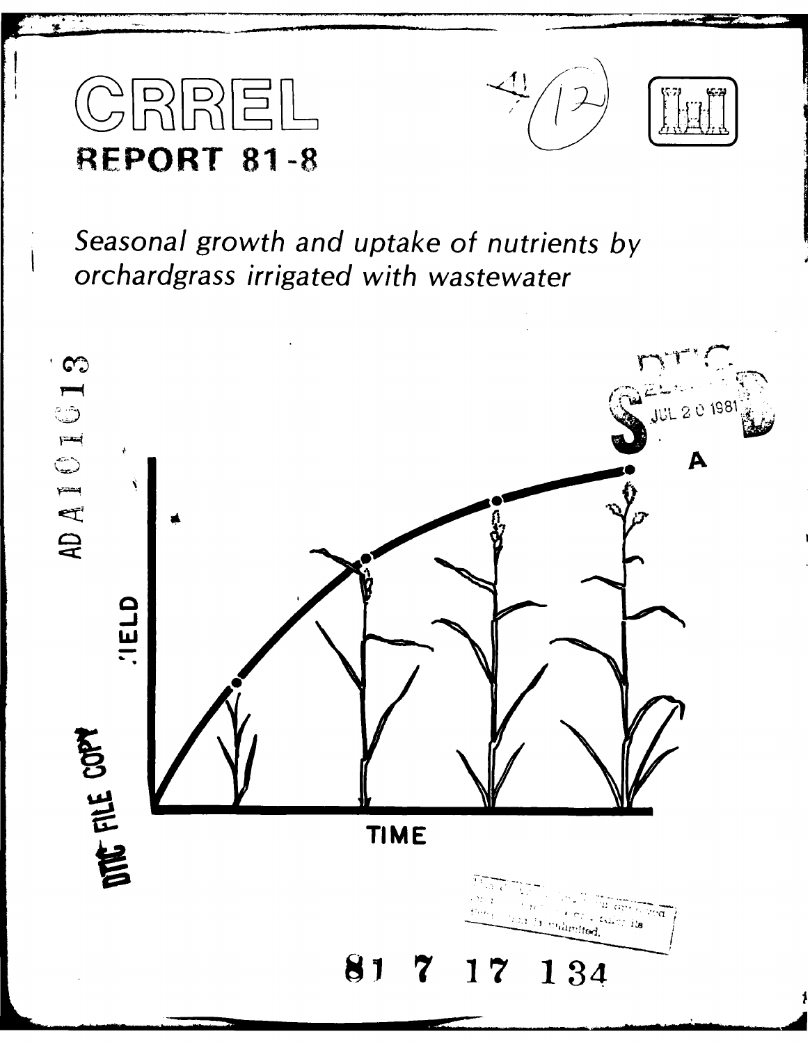





Seasonal growth and uptake of nutrients by orchardgrass irrigated with wastewater

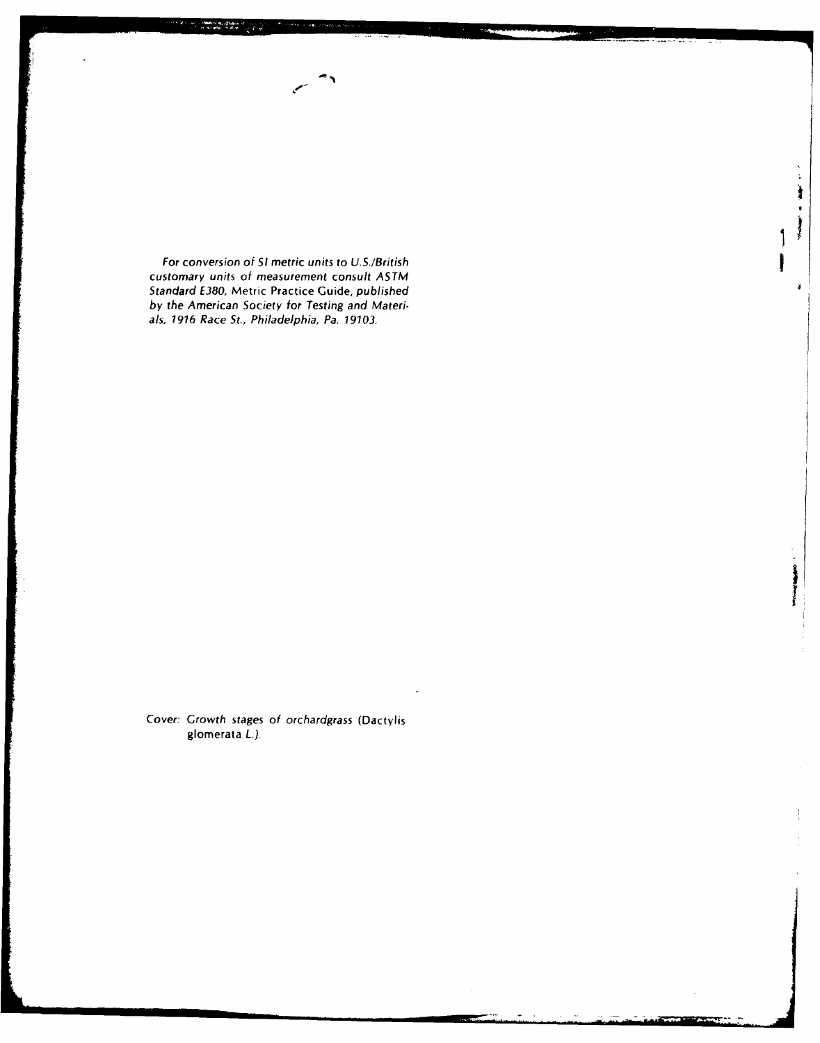For conversion of **SI** metric units to U.S./British customary units of measurement consult ASTM Standard E380, Metric Practice Guide, published by the American Society for Testing and Materials, *1916* Race St., Philadelphia, Pa. 19103,

Cover: Growth stages of orchardgrass (Dactylis glomerata L.).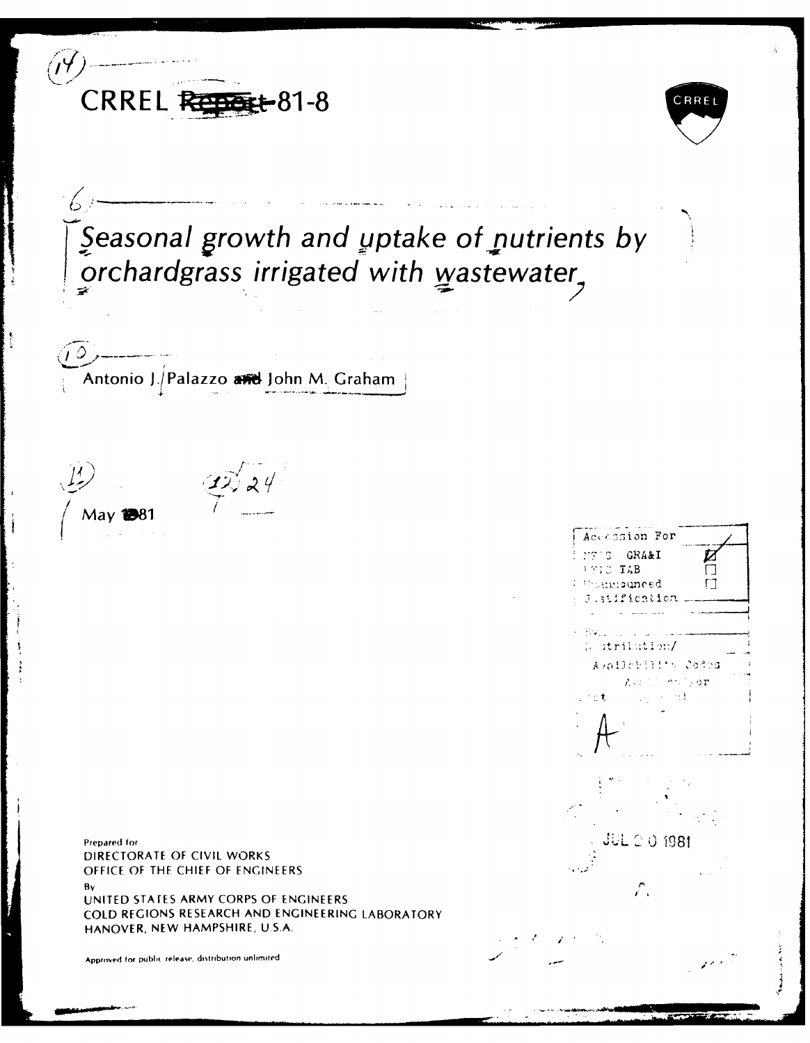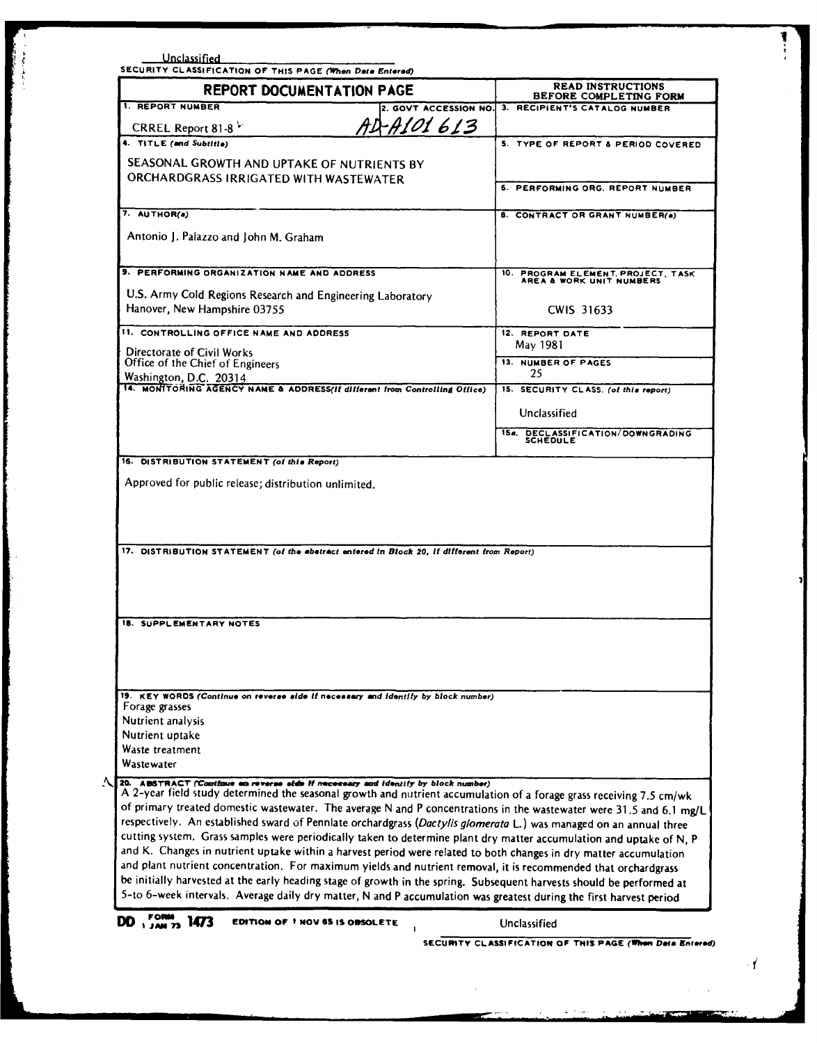| REPORT DOCUMENTATION PAGE                                                                                                                                                                                                               | <b>READ INSTRUCTIONS</b><br>BEFORE COMPLETING FORM             |
|-----------------------------------------------------------------------------------------------------------------------------------------------------------------------------------------------------------------------------------------|----------------------------------------------------------------|
| 1. REPORT NUMBER<br>2. GOVT ACCESSION NO.                                                                                                                                                                                               | 3. RECIPIENT'S CATALOG NUMBER                                  |
| AD-A101613<br>CRREL Report 81-8                                                                                                                                                                                                         |                                                                |
| 4. TITLE (and Subtitle)                                                                                                                                                                                                                 | 5. TYPE OF REPORT & PERIOD COVERED.                            |
| SEASONAL GROWTH AND UPTAKE OF NUTRIENTS BY                                                                                                                                                                                              |                                                                |
| ORCHARDGRASS IRRIGATED WITH WASTEWATER                                                                                                                                                                                                  | 6. PERFORMING ORG. REPORT NUMBER                               |
|                                                                                                                                                                                                                                         |                                                                |
| 7. AUTHOR(a)                                                                                                                                                                                                                            | 8. CONTRACT OR GRANT NUMBER(a)                                 |
| Antonio J. Palazzo and John M. Graham                                                                                                                                                                                                   |                                                                |
| 9. PERFORMING ORGANIZATION NAME AND ADDRESS                                                                                                                                                                                             | 10. PROGRAM ELEMENT, PROJECT, TASK<br>AREA & WORK UNIT NUMBERS |
| U.S. Army Cold Regions Research and Engineering Laboratory                                                                                                                                                                              |                                                                |
| Hanover, New Hampshire 03755                                                                                                                                                                                                            | CWIS 31633                                                     |
| 11. CONTROLLING OFFICE NAME AND ADDRESS                                                                                                                                                                                                 | 12. REPORT DATE                                                |
| Directorate of Civil Works                                                                                                                                                                                                              | May 1981                                                       |
| Office of the Chief of Engineers                                                                                                                                                                                                        | <b>13. NUMBER OF PAGES</b><br>25                               |
| Washington, D.C. 20314<br>14. MONITORING AGENCY NAME & ADDRESS(II different from Controlling Office)                                                                                                                                    | 15. SECURITY CLASS. (of this report)                           |
|                                                                                                                                                                                                                                         | Unclassified                                                   |
|                                                                                                                                                                                                                                         | 15a. DECLASSIFICATION/DOWNGRADING                              |
|                                                                                                                                                                                                                                         | <b>SCHEDULE</b>                                                |
| 16. DISTRIBUTION STATEMENT (of this Report)                                                                                                                                                                                             |                                                                |
| Approved for public release; distribution unlimited.<br>17. DISTRIBUTION STATEMENT (of the abatract entered in Block 20, if different from Report)                                                                                      |                                                                |
|                                                                                                                                                                                                                                         |                                                                |
| <b>18. SUPPLEMENTARY NOTES</b>                                                                                                                                                                                                          |                                                                |
|                                                                                                                                                                                                                                         |                                                                |
|                                                                                                                                                                                                                                         |                                                                |
|                                                                                                                                                                                                                                         |                                                                |
| 19. KEY WORDS (Continue on reverse side if necessary and identify by block number)                                                                                                                                                      |                                                                |
| Forage grasses<br>Nutrient analysis                                                                                                                                                                                                     |                                                                |
| Nutrient uptake                                                                                                                                                                                                                         |                                                                |
| Waste treatment                                                                                                                                                                                                                         |                                                                |
| Wastewater                                                                                                                                                                                                                              |                                                                |
| A 20. ABSTRACT (Continue on reverse side if recorsary and identity by block number)<br>A 2-year field study determined the seasonal growth and nutrient accumulation of a forage grass receiving 7.5 cm/wk                              |                                                                |
| of primary treated domestic wastewater. The average N and P concentrations in the wastewater were 31.5 and 6.1 mg/L                                                                                                                     |                                                                |
| respectively. An established sward of Pennlate orchardgrass (Dactylis glomerata L.) was managed on an annual three                                                                                                                      |                                                                |
| cutting system. Grass samples were periodically taken to determine plant dry matter accumulation and uptake of N, P                                                                                                                     |                                                                |
| and K. Changes in nutrient uptake within a harvest period were related to both changes in dry matter accumulation                                                                                                                       |                                                                |
| and plant nutrient concentration. For maximum yields and nutrient removal, it is recommended that orchardgrass<br>be initially harvested at the early heading stage of growth in the spring. Subsequent harvests should be performed at |                                                                |
| 5-to 6-week intervals. Average daily dry matter, N and P accumulation was greatest during the first harvest period                                                                                                                      |                                                                |
| $DD \sim \frac{1}{2}$<br>1473<br><b>EDITION OF 1 NOV 65 IS OBSOLETE</b>                                                                                                                                                                 | Unclassified                                                   |

 $\cdot$  f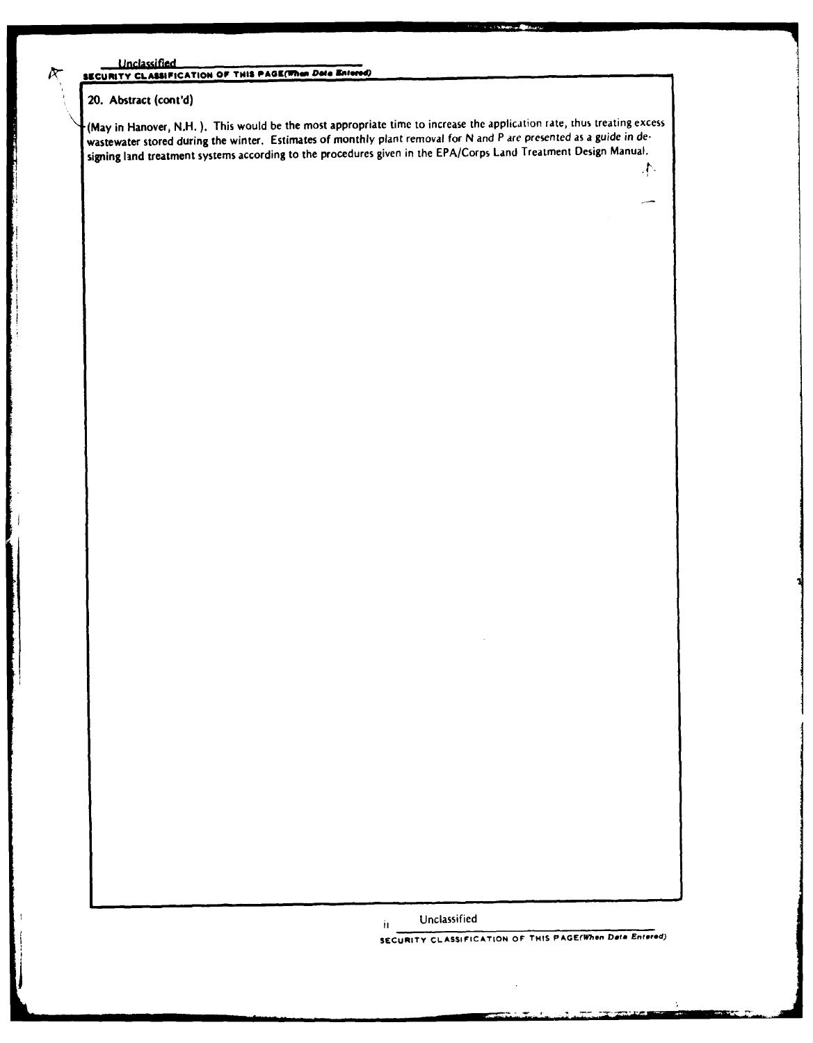### **Unclassified** SECURITY CLASSIFICATION OF THIS PAGE(When Data Entered

# 20. **Abstract** (cont'd)

 $\propto$ 

**4a**

(May in Hanover, **N.H. ).** This would be the most appropriate time to increase the application rate, thus treating excess wastewater stored during the winter. Estimates of monthly plant removal for **N** and P are presented as a guide in designing land treatment systems according to the procedures given in the EPA/Corps Land Treatment Design Manual.

> Unclassified  $\mathbf{H}$

**SECURITY CLASSIFICATION OF THIS PAGE(When Data Entered)**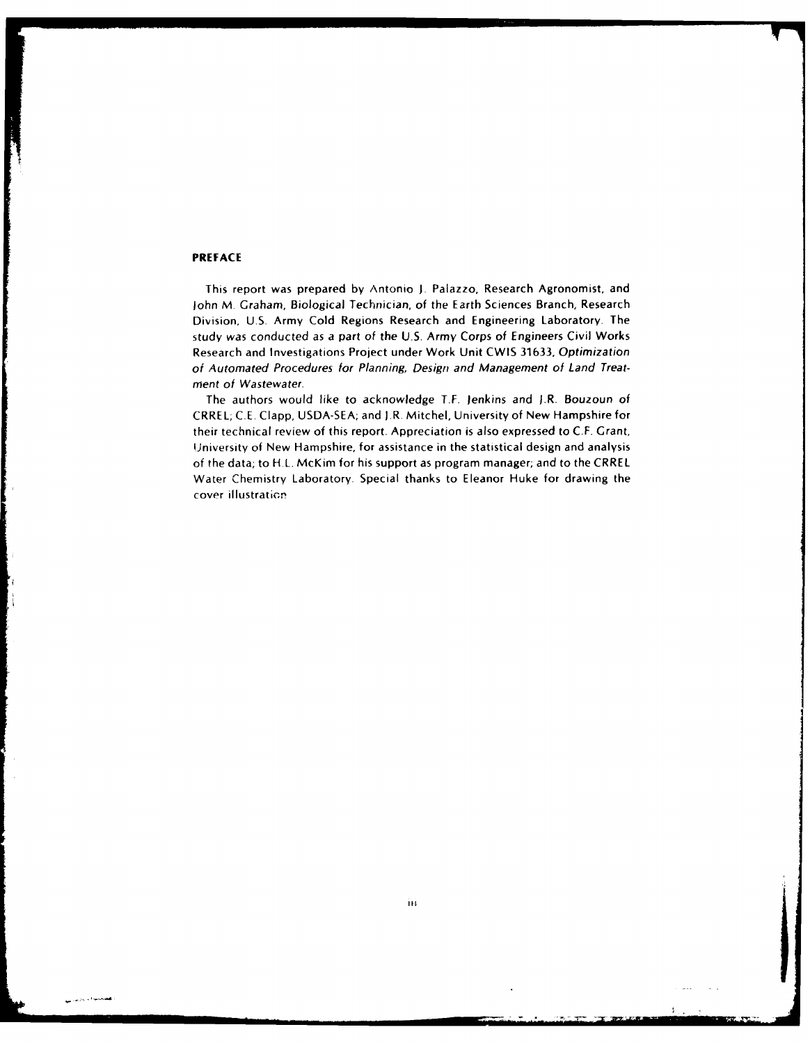### **PREFACE**

فعصيته فالمريزين

This report was prepared **by** Antonio **J.** Palazzo, Research Agronomist, and John M. Graham, Biological Technician, of the Earth Sciences Branch, Research Division, **U.S.** Army Cold Regions Research and Engineering Laboratory. The study was conducted as a part of the **U.S.** Army Corps of Engineers Civil Works Research and Investigations Project under Work Unit CWIS **31633,** Optimization of Automated Procedures for Planning, Design and Management of Land Treatment of Wastewater.

The authors would like to acknowledge T.F. Jenkins and J.R. Bouzoun of CRREL; C.E. Clapp, USDA-SEA; and J.R. Mitchel, University of New Hampshire for their technical review of this report. Appreciation is also expressed to C.F. Grant, University of New Hampshire, for assistance in the statistical design and analysis of the data; to H.L. McKim for his support as program manager; and to the CRREL Water Chemistry Laboratory. Special thanks to Eleanor Huke for drawing the cover illustration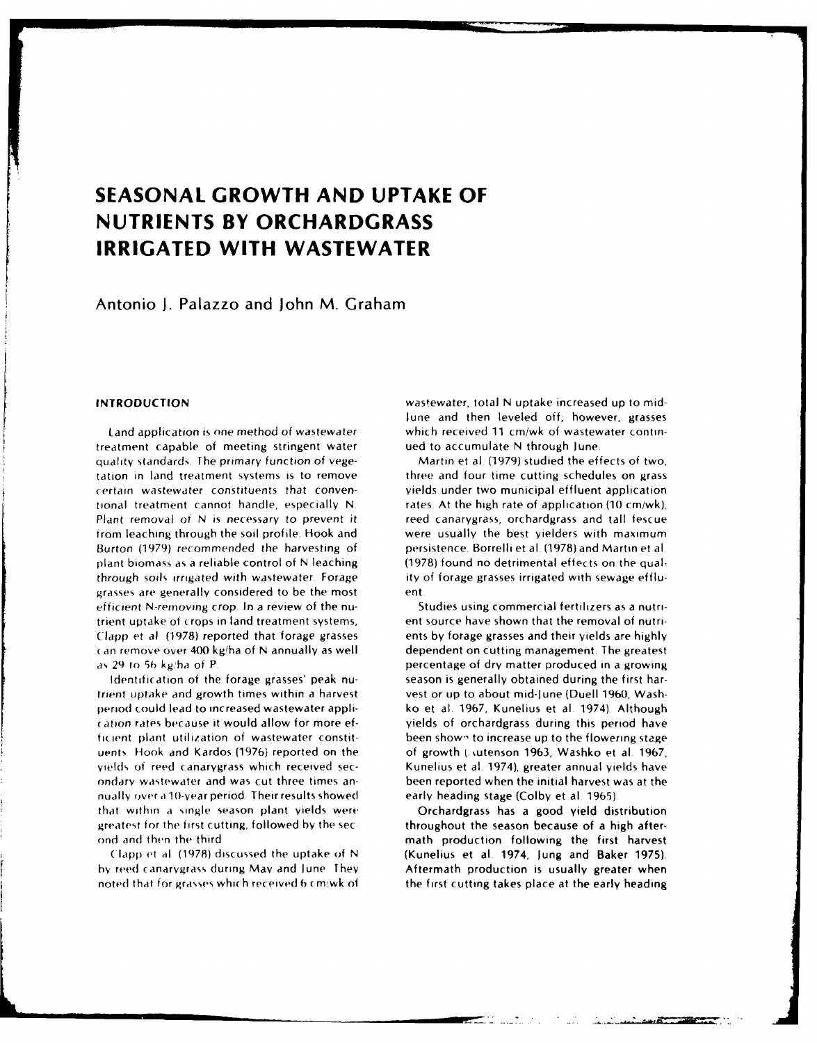# **SEASONAL GROWTH AND UPTAKE OF NUTRIENTS BY ORCHARDGRASS IRRIGATED WITH WASTEWATER**

Antonio **J.** Palazzo and John M. Graham

treatment capable of meeting stringent water ued to accumulate N through June quality standards. The primary function of vege- Martin et al (1979) studied the effects of two, tation in land treatment systems is to remove three and four time cutting schedules on grass certain wastewater constituents that conven- yields under two municipal effluent application tional treatment cannot handle, especially N. rates. At the high rate of application (10 cm/wk), Plant removal of N is necessary to prevent it reed canarygrass, orchardgrass and tall fescue from leaching through the soil profile. Hook and were usually the best yielders with maximum Burton (1979) recommended the harvesting of persistence. Borrelli et al. (1978) and Martin et al. plant biomass as a reliable control of N leaching (1978) found no detrimental effects on the qualthrough soils irrigated with wastewater. Forage ity of forage grasses irrigated with sewage efflugrasses are generally considered to be the most ent efficient N-removing crop. In a review of the nu- Studies using commercial fertilizers as a nutritrient uptake of crops in land treatment systems, ent source have shown that the removal of nutri- (lapp et al (1978) reported that forage grasses ents by forage grasses and their yields are highly *(an* remove over 400 kg!ha of N annually as well dependent on cutting management. The greatest

trient uptake and growth times within a harvest vest or up to about mid-June (Duell 1960, Washperiod could lead to increased wastewater appli- ko et al. 1967, Kunelius et al 1974) Although ration rates because it would allow for more ef- yields of orchardgrass during this period have ficient plant utilization of wastewater constit-<br>been shown to increase up to the flowering stage uents Hook and Kardos (1976) reported on the of growth (intenson 1963, Washko et al. 1967, yields of reed canarygrass which received sec-<br>
Kunelius et al. 1974), greater annual yields have ondary wastewater and was cut three times an- been reported when the initial harvest was at the nually over a 10-year period. Their results showed early heading stage (Colby et al. 1965). that within a single season plant yields were Orchardgrass has a good yield distribution greatest for the first cutting, followed by the section of throughout the season because of a high after-

hy reed canarygrass during May and June They Aftermath production is usually greater when noted that for grasses which received 6 cm/wk of the first cutting takes place at the early heading

**INTRODUCTION** wastewater, total **N** uptake increased up to mid-June and then leveled off; however, grasses Land application is one method of wastewater which received 11 cm/wk of wastewater contin-

as 29 to 56 kg/ha of P. **percentage of dry matter produced in a growing** Identification of the forage grasses' peak nu- season is generally obtained during the first har-

ond and then the third math production following the first harvest (lapp et al (1978) discussed the uptake of N (Kunelius et al. 1974, lung and Baker 1975).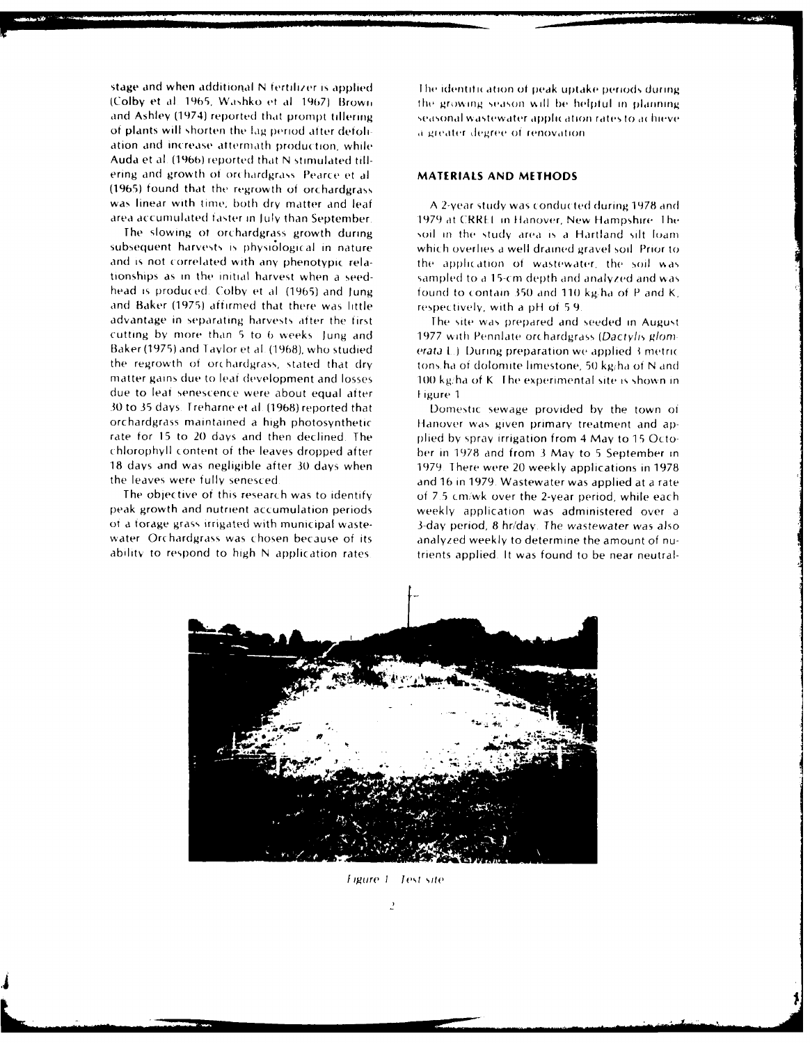stage and when additional N fertilizer is applied (Colby et al. 1965, Washko et al. 1967). Brown and Ashley (1974) reported that prompt tillering of plants will shorten the lag period after defoliation and increase attermath production, while Auda et al. (1966) reported that N stimulated tillering and growth of orchardgrass. Pearce et al. (1965) found that the regrowth of orchardgrass was linear with time; both dry matter and leaf area accumulated faster in July than September

The slowing of orchardgrass growth during subsequent harvests is physiological in nature and is not correlated with any phenotypic relationships as in the initial harvest when a seedhead is produced. Colby et al. (1965) and Jung and Baker (1975) affirmed that there was little advantage in separating harvests after the first cutting by more than 5 to 6 weeks. Jung and Baker (1975) and Taylor et al. (1968), who studied the regrowth of orchardgrass, stated that dry matter gains due to leaf development and losses due to leaf senescence were about equal after 30 to 35 days. Treharne et al. (1968) reported that orchardgrass maintained a high photosynthetic rate for 15 to 20 days and then declined. The chlorophyll content of the leaves dropped after 18 days and was negligible after 30 days when the leaves were fully senesced

The objective of this research was to identify peak growth and nutrient accumulation periods of a forage grass irrigated with municipal wastewater. Orchardgrass was chosen because of its ability to respond to high N application rates

The identification of peak uptake periods during the growing season will be helpful in planning seasonal wastewater application rates to achieve a greater degree of renovation

# **MATERIALS AND METHODS**

A 2-year study was conducted during 1978 and 1979 at CRREL in Hanover, New Hampshire. The soil in the study area is a Hartland silt loam which overlies a well drained gravel soil. Prior to the application of wastewater, the soil was sampled to a 15-cm depth and analyzed and was found to contain 350 and 110 kg/ha of P and K. respectively, with a pH of 5.9.

The site was prepared and seeded in August 1977 with Pennlate orchardgrass (Dactylis glomerata L.) During preparation we applied 3 metric tons, ha of dolomite limestone, 50 kg/ha of N and 100 kg/ha of K. The experimental site is shown in Figure 1

Domestic sewage provided by the town of Hanover was given primary treatment and applied by spray irrigation from 4 May to 15 October in 1978 and from 3 May to 5 September in 1979. There were 20 weekly applications in 1978. and 16 in 1979. Wastewater was applied at a rate of 7.5 cm/wk over the 2-year period, while each weekly application was administered over a 3-day period, 8 hr/day. The wastewater was also analyzed weekly to determine the amount of nutrients applied. It was found to be near neutral-



Figure 1 Test site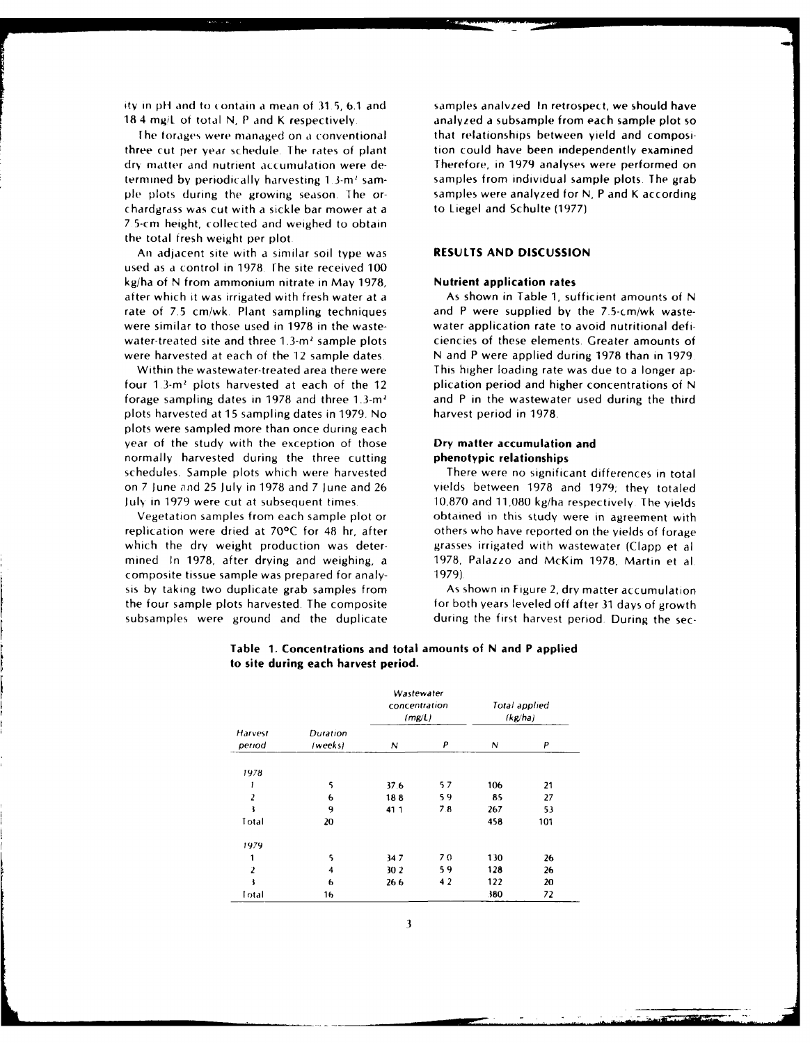ity in pH and to contain a mean of 31.5, 6.1 and samples analyzed In retrospect, we should have **18** 4 mg/L of total N, P and K respectively analyzed a subsample from each sample plot so

three cut per year schedule. **I** he rates of plant tion could have been independently examined dry matter and nutrient accumulation were de- Therefore, in 1979 analyses were performed on termined by periodically harvesting 1.3-m<sup>2</sup> sam- samples from individual sample plots. The grab ple plots (luring the growing season. The or- samples were analyzed for N, P and K according chardgrass was cut with a sickle bar mower at a to Liegel and Schulte (1977) 7 5-crn height, collected and weighed to obtain the total fresh weight per plot

An adjacent site with a similar soil type was **RESULTS AND DISCUSSION** used as a control in 1978. The site received 100 kg/ha of N from ammonium nitrate in May 1978, **Nutrient application rates** after which it was irrigated with fresh water at a As shown in Table 1, sufficient amounts of N rate of 7.5 cm/wk. Plant sampling techniques and P were supplied by the 7.5-cm/wk wastewere similar to those used in 1978 in the waste- water application rate to avoid nutritional defiwater-treated site and three 1.3-m<sup>2</sup> sample plots ciencies of these elements. Greater amounts of

four  $1.3 \cdot m^2$  plots harvested at each of the 12 plication period and higher concentrations of N forage sampling dates in 1978 and three 1.3- $m<sup>2</sup>$  and P in the wastewater used during the third plots harvested at 15 sampling dates in 1979. No harvest period in 1978. plots were sampled more than once during each year of the study with the exception of those **Dry matter accumulation and** normally harvested during the three cutting **phenotypic relationships** schedules. Sample plots which were harvested There were no significant differences in total on 7 June and 25 July in 1978 and 7 June and 26 yields between 1978 and 1979; they totaled

replication were dried at  $70^{\circ}$ C for 48 hr, after others who have reported on the yields of forage which the dry weight production was deter- grasses irrigated with wastewater (Clapp et al mined In 1978, after drying and weighing, a 1978, Palazzo and McKim 1978, Martin et al composite tissue sample was prepared for analy- 1979) sis by taking two duplicate grab samples from As shown in Figure 2, dry matter accumulation the four sample plots harvested. The composite for both years leveled off after 31 days of growth subsamples were ground and the duplicate during the first harvest period. During the sec-

**Ihe** torages were managed on a conventional that relationships between yield and composi-

were harvested at each of the 12 sample dates. N and P were applied during 1978 than in 1979. Within the wastewater-treated area there were This higher loading rate was due to a longer ap-

July in 1979 were cut at subsequent times. 10,870 and 11,080 kg/ha respectively The yields Vegetation samples from each sample plot or obtained in this study were in agreement with

|                   |                     | Wastewater<br>concentration<br>(mg/L) |     |     | Total applied<br>(kg/ha) |
|-------------------|---------------------|---------------------------------------|-----|-----|--------------------------|
| Harvest<br>period | Duration<br>(weeks) | N                                     | P   | Ν   | P                        |
| 1978              |                     |                                       |     |     |                          |
| 1                 | 5                   | 37.6                                  | 57  | 106 | 21                       |
| 2                 | 6                   | 188                                   | 59  | 85  | 27                       |
| ł                 | 9                   | 411                                   | 7.8 | 267 | 53                       |
| Total             | 20                  |                                       |     | 458 | 101                      |
| 1979              |                     |                                       |     |     |                          |
| 1                 | 5                   | 347                                   | 70  | 130 | 26                       |
| $\overline{z}$    | 4                   | 30 2                                  | 59  | 128 | 26                       |
| ł                 | 6                   | 26.6                                  | 42  | 122 | 20                       |
| Total             | 16                  |                                       |     | 380 | 72                       |

| Table 1. Concentrations and total amounts of N and P applied |
|--------------------------------------------------------------|
| to site during each harvest period.                          |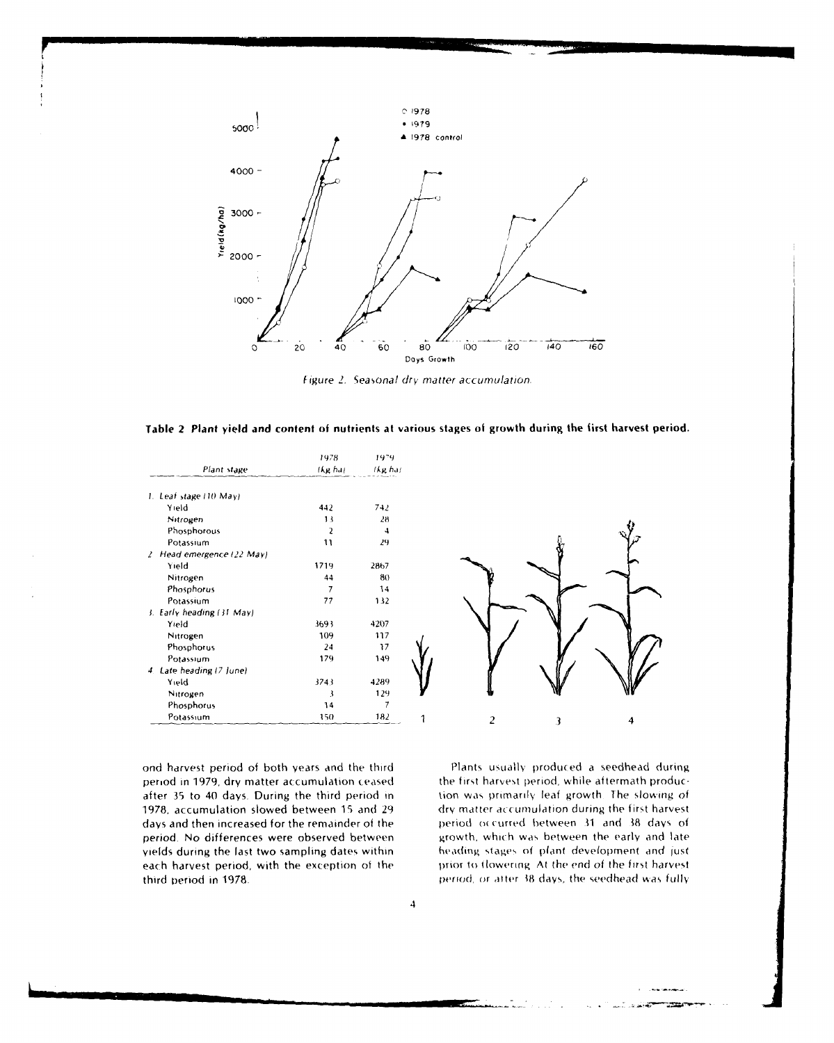

*figure* 2. *Seasonal* dry. matter accumulation,

**Table 2 Plant yield and content of nutrients at various** stages of growth during the first harvest **period.**

|                           | 1978    | 1979.          |   |  |
|---------------------------|---------|----------------|---|--|
| Plant stage               | (kg ha) | The har        |   |  |
| 1. Leaf stage (10 May)    |         |                |   |  |
| Yield                     | 442     | 742            |   |  |
| Nitrogen                  | 13      | 28             |   |  |
| Phosphorous               | 2       | 4              |   |  |
| Potassium                 | 11      | 29             |   |  |
| 2 Head emergence (22 May) |         |                |   |  |
| Yield                     | 1719    | 2867           |   |  |
| Nitrogen                  | 44      | 80             |   |  |
| Phosphorus                | 7       | 14             |   |  |
| Potassium                 | 77      | 132            |   |  |
| 3. Early heading (31 May) |         |                |   |  |
| Yield                     | 3693    | 4207           |   |  |
| Nitrogen                  | 109     | 117            |   |  |
| Phosphorus                | 24      | $\mathfrak{z}$ |   |  |
| Potassium                 | 179     | 149            |   |  |
| 4. Late heading (7 June)  |         |                |   |  |
| Yield                     | 3743    | 4289           |   |  |
| Nitrogen                  | 3       | 129            |   |  |
| Phosphorus                | 14      | 7              |   |  |
| Potassium                 | 150     | 182            | 2 |  |

ond harvest period of both years and the third Plants Usually produced a seedhead during period in 1979, dry matter accumulation ceased the first harvest period, while aftermath producafter 35 to 40 days. During the third period in tion was primarily leaf growth. The slowing of 1978, accumulation slowed between 15 and 29 dry matter accumulation during the first harvest days and then increased for the remainder of the period **o(** curred between **11** and **38** days of period. No differences were observed between growth, which was between the early and late yields during the last two sampling dates within heading stages of plant development and just each harvest period, with the exception of the least of thomering. At the end of the first harvest third period in 1978. period, or atter **18** (ays, the seedhead was fully

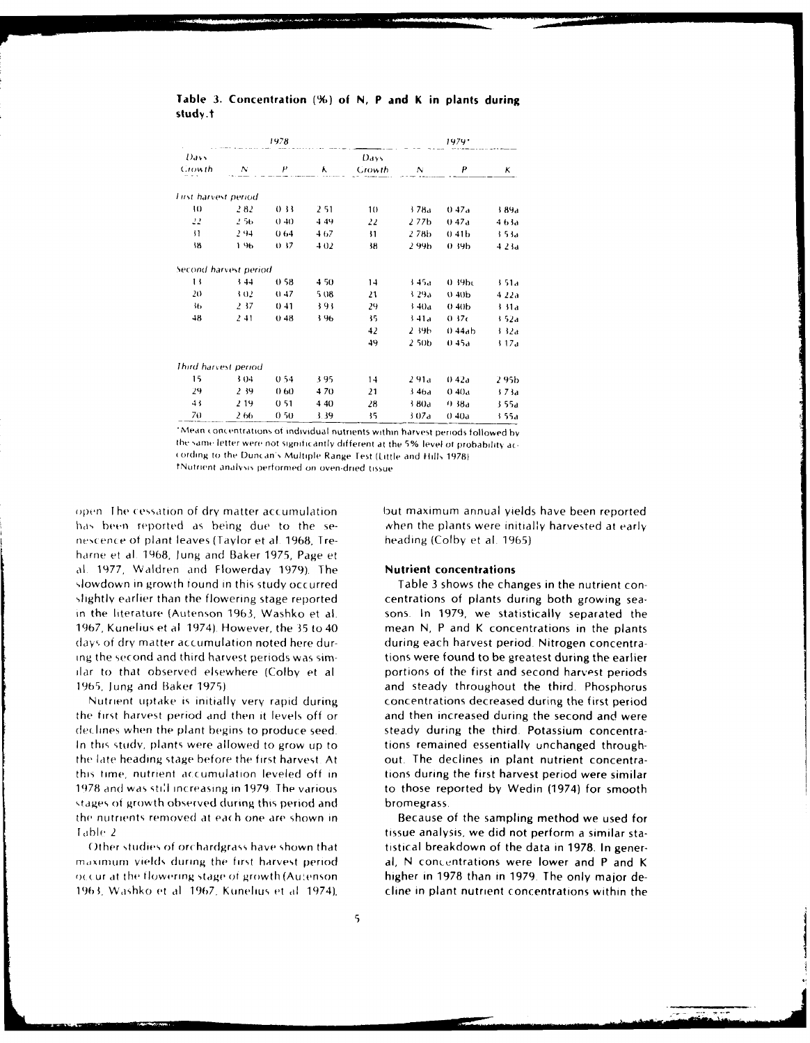# Table 3. Concentration (%) of N, P and K in plants during study.t

|       | 1978                                                  |                                       |                |                  | 1979.                 |                                    |
|-------|-------------------------------------------------------|---------------------------------------|----------------|------------------|-----------------------|------------------------------------|
| Ν     | P                                                     | ٨                                     | Days<br>Crowth | Ν                | P                     | κ                                  |
|       |                                                       |                                       |                |                  |                       |                                    |
|       |                                                       |                                       |                |                  |                       | 389a                               |
| 2.56  |                                                       |                                       |                |                  |                       | 463a                               |
| 2.94  | 064                                                   | 4.67                                  |                |                  |                       | 3.53a                              |
| 196   | O 37                                                  | 402                                   | 38             | 2.99b            | 0.39 <sub>b</sub>     | 423a                               |
|       |                                                       |                                       |                |                  |                       |                                    |
| 344   | 0.58                                                  | 4.50                                  | 14             | 3.45a            | 0.39 <sub>b</sub>     | 3.51a                              |
| 3.02  | (147)                                                 | 5.08                                  | 21             | 3.29a            | (3,40)                | 422a                               |
| 2, 37 | 041                                                   | 393                                   | 29             | $3-40a$          | 040 <sub>b</sub>      | 3.31a                              |
| 241   | 048                                                   | 3.96                                  | 35             | 3.41a            | 0.37c                 | 1.52a                              |
|       |                                                       |                                       | 42             | 2 39h            | 0.44ab                | 3.32a                              |
|       |                                                       |                                       | 49             | 250 <sub>b</sub> | 0.45a                 | 17a                                |
|       |                                                       |                                       |                |                  |                       |                                    |
| 304   | 0.54                                                  | 395                                   | 14             | 291a             | 0.42a                 | 2 95b                              |
| 2,39  | 060                                                   | 470                                   | 21             | 346a             | 040a                  | 373a                               |
| 2.19  | 051                                                   | 440                                   | 28             | 3.80a            | 0.38a                 | 3.55a                              |
| 266   | 050                                                   | 3.39                                  | 35             | 307a             | 040a                  | 3.55a                              |
|       | First harvest period<br>-2.82<br>Third harvest period | 033<br>(140)<br>Second harvest period | 2.51<br>4.49   | 10<br>22<br>31   | 378a<br>277b<br>2.78b | 0.47a<br>0.47a<br>041 <sub>b</sub> |

Mean concentrations of individual nutrients within harvest periods followed by the same letter were not significantly different at the 5% level of probability according to the Duncan's Multiple Range Test (Little and Hills 1978) fNutrient analysis performed on oven-dried tissue

open. The cessation of dry matter accumulation has been reported as being due to the senescence of plant leaves (Taylor et al. 1968, Treharne et al. 1968, Jung and Baker 1975, Page et al. 1977, Waldren and Flowerday 1979). The slowdown in growth found in this study occurred slightly earlier than the flowering stage reported in the literature (Autenson 1963, Washko et al. 1967, Kunelius et al. 1974). However, the 35 to 40 days of dry matter accumulation noted here during the second and third harvest periods was similar to that observed elsewhere (Colby et al 1965, Jung and Baker 1975).

Nutrient uptake is initially very rapid during the first harvest period and then it levels off or declines when the plant begins to produce seed. In this study, plants were allowed to grow up to the late heading stage before the first harvest. At this time, nutrient accumulation leveled off in 1978 and was still increasing in 1979. The various stages of growth observed during this period and the nutrients removed at each one are shown in Table 2

Other studies of orchardgrass have shown that maximum vields during the first harvest period occur at the flowering stage of growth (Autenson 1963, Washko et al. 1967, Kunelius et al. 1974),

but maximum annual yields have been reported when the plants were initially harvested at early heading (Colby et al. 1965)

### **Nutrient concentrations**

Table 3 shows the changes in the nutrient concentrations of plants during both growing seasons. In 1979, we statistically separated the mean N, P and K concentrations in the plants during each harvest period. Nitrogen concentrations were found to be greatest during the earlier portions of the first and second harvest periods and steady throughout the third. Phosphorus concentrations decreased during the first period and then increased during the second and were steady during the third. Potassium concentrations remained essentially unchanged throughout. The declines in plant nutrient concentrations during the first harvest period were similar to those reported by Wedin (1974) for smooth bromegrass

Because of the sampling method we used for tissue analysis, we did not perform a similar statistical breakdown of the data in 1978. In general, N concentrations were lower and P and K higher in 1978 than in 1979. The only major decline in plant nutrient concentrations within the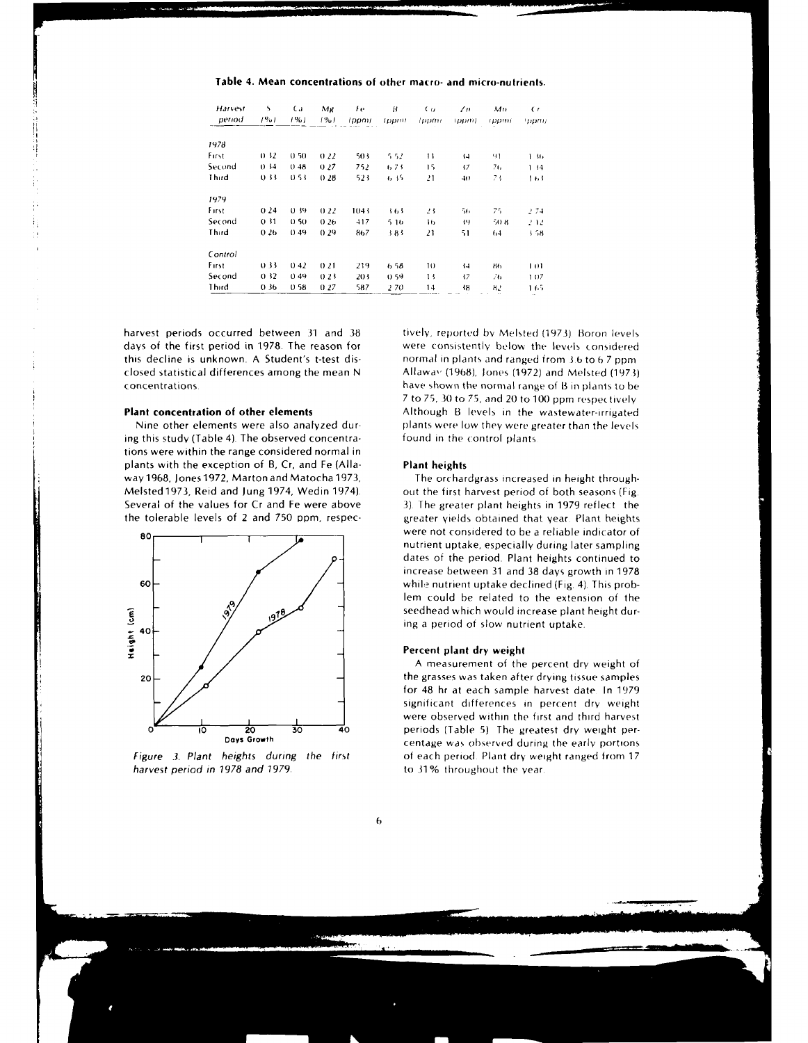**Table 4. Mean concentrations of other macro- and** micro-nutrients.

| Harvest<br>period | S.<br>(90) | Ca.<br>$1\%1$ | Mg<br>1%1 | Fe.<br>(ppm) | B<br>topmi | (μ<br>(ppm)     | $\sqrt{n}$<br>(ppm)   | Mn<br>(ppm) | $\epsilon$<br>'ppm; |
|-------------------|------------|---------------|-----------|--------------|------------|-----------------|-----------------------|-------------|---------------------|
|                   |            |               |           |              |            |                 |                       |             |                     |
| 1978              |            |               |           |              |            |                 |                       |             |                     |
| First             | 0.32       | 0,50          | 0.22      | 503          | 5.52       | $\overline{11}$ | $\left\{ -1 \right\}$ | 91          | 36                  |
| Second            | 0.34       | 0.48          | 027       | 752          | 6.73       | 15              | 17                    | 76          | 1.14                |
| Third             | 0.33       | 0.53          | 0.28      | 523          | 635        | 21              | 40                    | 73          | しわり                 |
| 1979              |            |               |           |              |            |                 |                       |             |                     |
| Eirst             | 024        | 0.39          | 0.22      | 1043         | 3.63       | 23              | 56                    | 75          | 274                 |
| Second            | 0.31       | 0.50          | 0.26      | 417          | 516        | 16              | 抖                     | 50 B        | 242                 |
| Third             | 026        | 0.49          | 0.29      | 867          | 383        | 21              | 51                    | 64          | 1.58                |
| Control           |            |               |           |              |            |                 |                       |             |                     |
| First             | 0.33       | 042           | 021       | 219          | 6.58       | 10              | $^{14}$               | 86          | 1 O I               |
| Second            | 0.32       | 0.49          | 0.23      | 203          | 0.59       | 13              | 17                    | 76          | 107                 |
| Third             | 0.36       | 0.58          | 027       | 587          | 2.70       | 14              | 18                    | н.,         | 1.65                |

harvest periods occurred between 31 and 38 tively, reported by Melsted (1973). Boron levels days of the first period in 1978. The reason for were consistently below the levels considered<br>this decline is unknown. A Student's t-test dis-<br>normal in plants and ranged from 3.6 to 6.7 ppm closed statistical differences among the mean N  $\qquad$  Allaway (1968), Jones (1972) and Melsted (1973) concentrations. have shown the normal range of B in plants to be

ing this study (Table 4). The observed concentra- found in the control plants tions were within the range considered normal in plants with the exception of B, Cr, and Fe (Alla- **Plant heights** way1968, Jones1972, Marton and Matocha 1973, The orchardgrass increased in height through-Melsted 1973, Reid and Jung 1974, Wedin 1974). out the first harvest period of both seasons (Fig. Several of the values for Cr and Fe were above **3).** The greater plant heights in 1979 reflect the



harvest period in 1978 and 1979. The state of 31% throughout the year.

normal in plants and ranged from 3.6 to 6.7 ppm 7 to 75, **30** to 75, and 20 to **100** ppm respectively **Plant concentration of other elements** Although B levels in the wastewater-irrigated Nine other elements were also analyzed dur- plants were low they were greater than the levels

the tolerable levels of 2 and 750 ppm, respec-<br>
were not considered to be a reliable indicator of<br>
were not considered to be a reliable indicator of nutrient uptake, especially during later sampling dates of the period. Plant heights continued to increase between 31 and 38 days growth in 1978 **60-** while nutrient uptake declined (Fig. 4). This problem could be related to the extension of the **- :\0** seedhead which would increase plant height dur-

### **\_ \_Percent plant dry weight**

**I**

A measurement of the percent dry weight of  $20 \angle$   $\angle$ for 48 hr at each sample harvest date In 1979 **-** significant differences in percent dry weight were observed within the first and third harvest **<sup>0</sup>10 20 30** 40 periods (Table **5)** The greatest dry weight percentage was observed during the early portions Figure **.3.** Plant heights during the first of each period Plant dry weight ranged from 17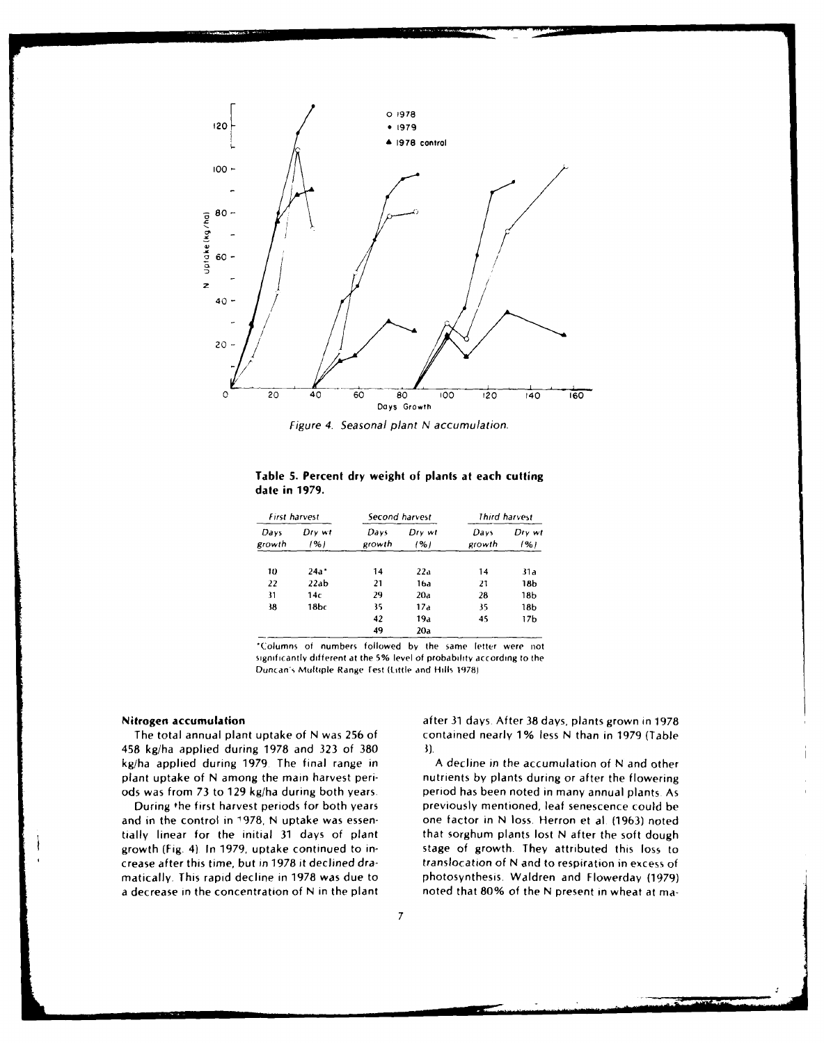

Figure 4. Seasonal plant N accumulation.

| Table 5. Percent dry weight of plants at each cutting |  |  |
|-------------------------------------------------------|--|--|
| date in 1979.                                         |  |  |

|                | First harvest | Second harvest |               |                | Third harvest   |
|----------------|---------------|----------------|---------------|----------------|-----------------|
| Days<br>growth | Dry wt<br>(%) | Davs<br>growth | Dry wt<br>(%) | Davs<br>growth | Dry wt<br>1%1   |
| 10             | $24a*$        | 14             | 22a           | 14             | 31a             |
| 22             | 22ab          | 21             | 16a           | 21             | 18b             |
| 31             | 14c           | 29             | 20a           | 28             | 18 <sub>b</sub> |
| 38             | 18br          | 35             | 17a           | 35             | 18b             |
|                |               | 42             | 19a           | 45             | 17b             |
|                |               | 49             | 20a           |                |                 |

Columns of numbers followed by the same letter were not significantly different at the 5% level of probability according to the Duncan's Multiple Range lest KLittle and Hills **1978)**

458 kg/ha applied during 1978 and 323 of 380 **3).** kg/ha applied during 1979. The final range in A decline in the accumulation of N and other plant uptake of N among the main harvest peri- nutrients by plants during or after the flowering ods was from 73 to 129 kg/ha during both years. period has been noted in many annual plants As

and in the control in **1978,** N uptake was essen- one factor in N loss. Herron et al (1963) noted tially linear for the initial **31** days of plant that sorghum plants lost N after the soft dough growth (Fig. 4) In **1979,** uptake continued to in- stage of growth. They attributed this loss to crease after this time, but in 1978 it declined dra- translocation of N and to respiration in excess of matically. This rapid decline in 1978 was due to photosynthesis. Waldren and Flowerday (1979) a decrease in the concentration of N in the plant noted that 80% of the N present in wheat at ma-

Nitrogen accumulation after **31** days. After 38 days, plants grown in 1978 The total annual plant uptake of N was **256** of contained nearly 1% less N than in 1979 (Table

During the first harvest periods for both years previously mentioned, leaf senescence could be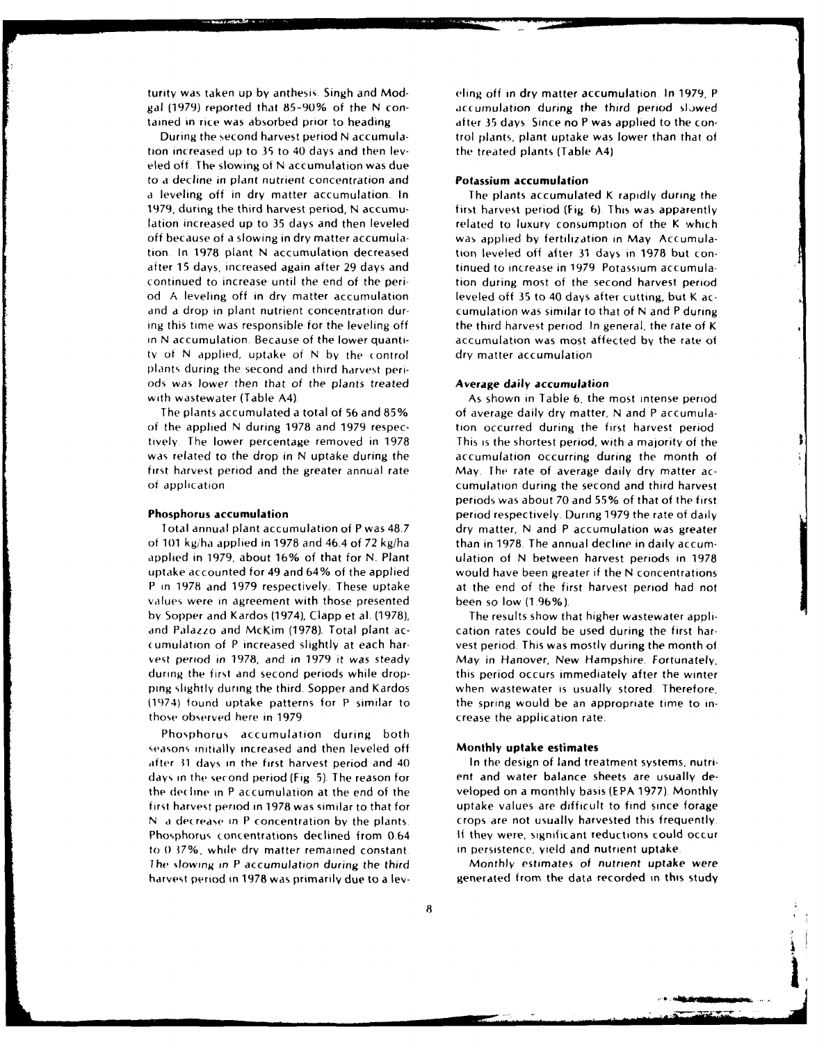gal (1979) reported that 85-90% of the N con- accumulation during the third period slowed tained in rice was absorbed prior to heading a same after 35 days. Since no P was applied to the con-

tion increased up to **35** to 40 days and then lev- the treated plants (Table A4) eled off. The slowing of N accumulation was due to a decline in plant nutrient concentration and **Potassium accumulation** a leveling off in dry matter accumulation. In The plants accumulated K rapidly during the 1979, during the third harvest period, N accumu- first harvest period (Fig 6) This was apparently lation increased up to 35 days and then leveled related to luxury consumption of the K which off because of a slowing in dry matter accumula- was applied by fertilization in May Accumulation. In 1978 plant N accumulation decreased tion leveled off after 31 days in 1978 but conafter 15 days, increased again after 29 days and tinued to increase in 1979 Potassium accumulacontinued to increase until the end of the peri- tion during most of the second harvest period od A leveling off in dry matter accumulation leveled off 35 to 40 days after cutting, but K acand a drop in plant nutrient concentration dur- cumulation was similar to that of N and P during ing this time was responsible for the leveling off the third harvest period. In general, the rate of K in N accumulation. Because of the lower quanti- accumulation was most affected by the rate of ty of N applied, uptake of N by the control dry matter accumulation plants during the second and third harvest periods was lower then that of the plants treated **Average** daily **accumulation** with wastewater (Table A4). As shown in Table 6, the most intense period

of the applied N during 1978 and 1979 respec- tion occurred during the first harvest period tively. The lower percentage removed in 1978 This is the shortest period, with a majority of the was related to the drop in N uptake during the accumulation occurring during the month of first harvest period and the greater annual rate May. The rate of average daily dry matter ac-

of **101** kgiha applied in 1978 and 46.4 of 72 kg/ha than in 1978. The annual decline in daily accumapplied in 1979, about 16% of that for **N.** Plant ulation of N between harvest periods in 1978 uptake accounted for 49 and 64% of the applied would have been greater if the N concentrations P in 1978 and 1979 respectively. These uptake at the end of the first harvest period had not values were in agreement with those presented been so low (1.96%). by Sopper and Kardos (1974), Clapp et al. (1978), The results show that higher wastewater appliand Palazzo and McKim (1978). Total plant ac- cation rates could be used during the first har-(umulation of P increased slightly at each har- vest period. This was mostly during the month of vest period in 1978, and in 1979 it was steady May in Hanover, New Hampshire. Fortunately, during the first and second periods while drop- this period occurs immediately after the winter ping slightly during the third. Sopper and Kardos when wastewater is usually stored. Therefore,  $(1974)$  found uptake patterns for P similar to the spring would be an appropriate time to inthose observed here in 1979. The same crease the application rate.

Phosphorus accumulation during both seasons initially increased and then leveled off Monthly **uptake estimates** after **31** days in the first harvest period and 40 In the design of land treatment systems, nutridays in the second period (Fig **5).** The reason for ent and water balance sheets are usually dethe decline in P accumulation at the end of the veloped on a monthly basis (EPA 1977). Monthly first harvest period in 1978 was similar to that for uptake values are difficult to find since forage N a decrease in P concentration by the plants. crops are not usually harvested this frequently. Phosphorus concentrations declined from 0.64 **If** they were, significant reductions could occur to **0 37%,** while dry matter remained constant. in persistence, yield and nutrient uptake The slowing in P accumulation during the third Monthly estimates of nutrient uptake were harvest period in 1978 was primarily due to a lev- generated from the data recorded in this study

turity was taken up by anthesis. Singh and Mod- (eling off in dry matter accumulation. In 1979, P During the second harvest period N accumula- trol plants, plant uptake was lower than that of

The plants accumulated a total of 56 and 85% of average daily dry matter, N and P accumulaof application cumulation during the second and third harvest periods was about 70 and 55% of that of the first Phosphorus **accumulation** period respectively. During 1979 the rate of daily Total annual plant accumulation of P was 48.7 dry matter, **N** and P accumulation was greater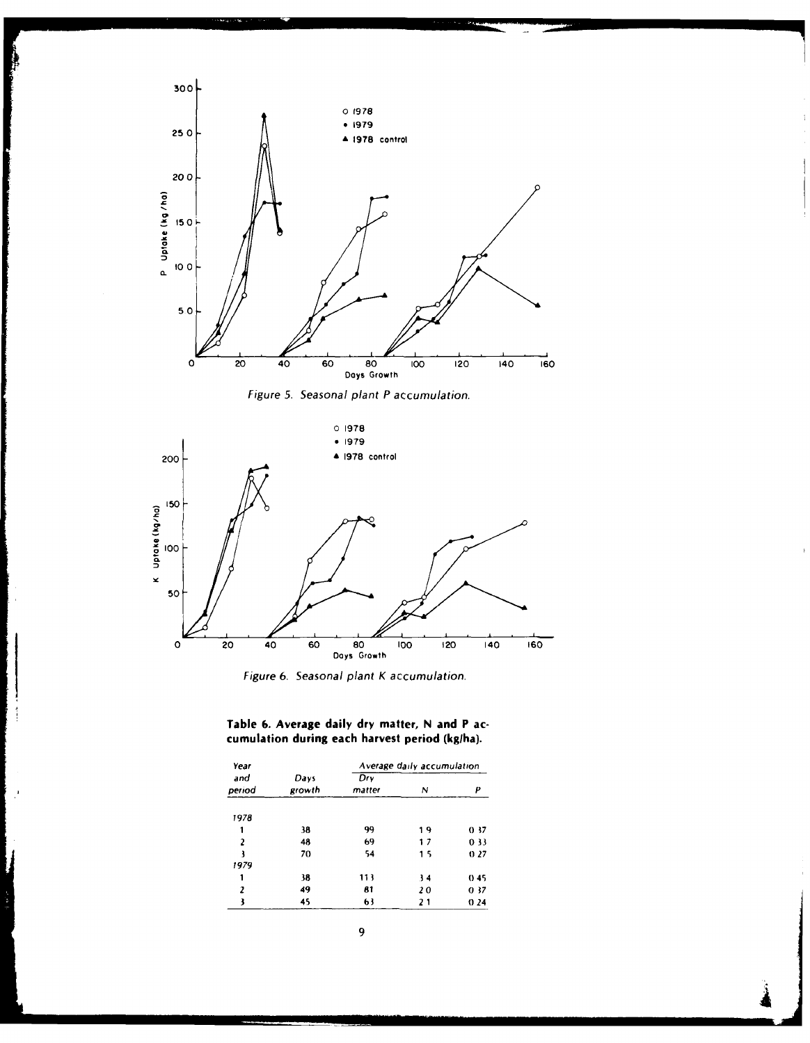

 $\mathbb{R}^3$ 

Figure **5.** Seasonal *plant* P accumulation.



Figure **6.** Seasonal plant K accumulation.

# **Table 6. Average daily dry matter, N and P accumulation during each harvest period** (kglha).

| Year           |                |               | Average daily accumulation |      |  |
|----------------|----------------|---------------|----------------------------|------|--|
| and<br>period  | Days<br>growth | Drv<br>matter | N                          | р    |  |
| 1978           |                |               |                            |      |  |
|                | 38             | 99            | 19                         | 0.37 |  |
| $\overline{a}$ | 48             | 69            | 17                         | 0.33 |  |
| ł              | 70             | 54            | 15                         | 027  |  |
| 1979           |                |               |                            |      |  |
| 1              | 38             | 113           | 34                         | 0.45 |  |
| 2              | 49             | 81            | 20                         | 0.37 |  |
| 3              | 45             | 63            | 21                         | 0.24 |  |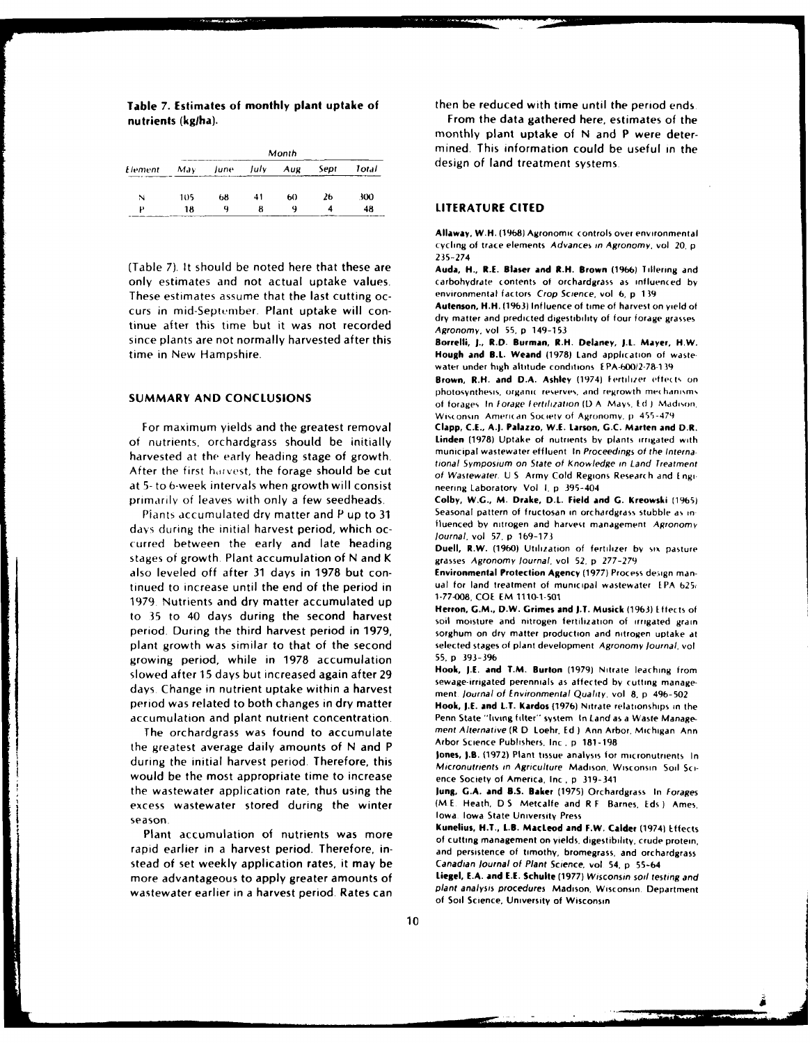| Element |     |    |               |    |      |       |
|---------|-----|----|---------------|----|------|-------|
|         | May |    | June July Aug |    | Sept | Total |
| N       | 105 | 68 | 41            | 60 | 26   | 300   |
| υ       | 18  | a  |               | a  |      | 48    |

nutrients (kg/ha). The state of the state of the data gathered here, estimates of the state of the state of the

(Table **7).** It should be noted here that these are Auda, **H., R.E.** *Blaser* **and** B.H. Brown **(1966)** Tillering and only estimates and not actual uptake values, carbohydrate contents of orchardgrass as influenced **by** These estimates assume that the last cutting oc-<br> **Autenson, H.H.** (1963) Influence of time of harvest on yield of curs in mid-September. Plant uptake will con-<br>dry matter and predicted digestibility of four forage grasses tinue after this time but it was not recorded Agronomy, vol 55, p 149-153 since plants are not normally harvested after this **Borrelli, I., R.D. Burman, R.H. Delaney, I.L. Mayer, H.W.**

For maximum yields and the greatest removal of nutrients, orchardgrass should be initially **Linden (1978)** Uptake of nutrients **by** plants irrigated with harvested at the early heading stage of growth.<br>tional Symposium on State of Knowledge in Land Treatment After the first harvest, the forage should be cut of Wastewater. U S Army Cold Regions Research and Engi. at **5-** to 6-week intervals when growth will consist neering Laboratory Vol **I. p** 395-404

days during the initial harvest period, which oc-<br>fluenced by nitrogen and harvest period, which oc-<br>fluenal, vol. 57, p. 169-173 *journal,* vol **57.** p **169-173** curred between the early and late heading **Duell,** R.W. **(1960)** Utilization of fertilizer **by** siX pasture stages of growth. Plant accumulation of N and K grasses Agronomy *journal,* vol **52,** p 277-279 also leveled off after **31** days in 1978 but con- **Environmental Protection Agency (1977)** Process design mantinued to increase until the end of the period in ual for land treatment of municipal wastewater EPA **b25**, 1979. Nutrients and dry matter accumulated up to 35 to 40 days during the second harvest soil moisture and nitrogen fertilization of irrigated grain period. During the third harvest period in **1979,** sorghum on dry matter production and nitrogen uptake at plant growth was similar to that of the second selected stages of plant development Agronomy Journal, vol growing period, while in 1978 accumulation 55, p 393-396<br>closued after 15 days but increased again after 29. **Hook, J.E. and T.M. Burton** (1979) Nitrate leaching from slowed after 15 days but increased again after 29 **Hook, I.E. and T.M. Burton** (1979) Nitrate leaching from<br>Sewage-irrigated perennials as affected by cutting managesewage-irrigated perennials as affected **by** cutting manage- days Change in nutrient uptake within a harvest ment *Journal* of Environmental Quality. vol **8.** p 496-502 period was related to both changes in dry matter **Hook, I.E. and L.T. Kardos (1976)** Nitrate relationships in the accumulation and plant nutrient concentration. Penn State "living filter" system In Land as a Waste Manage-

the greatest average daily amounts of N and P<br>**Jones, J.B.** (1972) Plant tissue analysis for micronutrients In during the initial harvest period. Therefore, this Micronutrients in Agriculture Madison, Wisconsin Soil Sciwould be the most appropriate time to increase ence Society of America, Inc. **p** 319-341 the wastewater application rate, thus using the **lung, G.A. and B.S. Baker (1975)** Orchardgrass In *Forages* excess wastewater stored during the winter (M **E** Heath, **D S** Metcalfe and R F Barnes. Eds **)** Ames, season. Iowa Iowa State University Press

rapid earlier in a harvest period. Therefore, in- and persistence of timothy, bromegrass, and orchardgrass stead of set weekly application rates, it may be Canadian Journal of Plant Science, vol **54. p 55-64** more advantageous to apply greater amounts of Liegel, **E.A. and I.E. Schulte (1977)** Wisconsin soil testing and

**Table 7. Estimates of monthly plant uptake** of then be reduced with time until the period ends

monthly plant uptake of N and P were determined. This information could be useful in the design of land treatment systems.

### **LITERATURE CITED**

**Allaway, W.H. (1968)** Agronomic controls over environmental cycling of trace elements Advances in Agronomy, vol 20. **p** 235-274

time in New Hampshire. **Hough and B.L. Weand (1978)** Land application of wastewater under **high** altitude conditions **EPA-600,2-78139**

Brown, R.H. and D.A. Ashley (1974) Fertilizer effects on **SUMMARY AND CONCLUSIONS** photosynthesis, organic reserves, and regrowth mechanisms of forages In forage fertilization *(D* **A Mays,** *I* **d** *)* Madison.

Wisconsin American Society of Agronomy, p. 455-479<br>Clapp, C.E., A.J. Palazzo, W.E. Larson, G.C. Marten and D.R.

primarily of leaves with only a few seedheads. **Colby, W.G., M. Drake, D.L. Field and G. Kreowski (1965)** Piants accumulated dry matter and P up to **31** Seasonal pattern of fructosan in orchardgrass stubble as in

**Herron, G.M., D.W. Grimes and I.T. Musick (1963)** Effects **of**

The orchardgrass was found to accumulate ment Alternative **(R D** Loehr. **Ed I** Ann Arbor. Michigan Ann

**Kunelius, H.T., L.B. MacLeod and F.W. Calder** (19741 Effects Plant accumulation of nutrients was more **of** cutting management on yields, digestibility, crude protein,

wastewater earlier in a harvest period. Rates can plant analysis procedures Madison, Wisconsin. Department of Soil Science, University of Wisconsin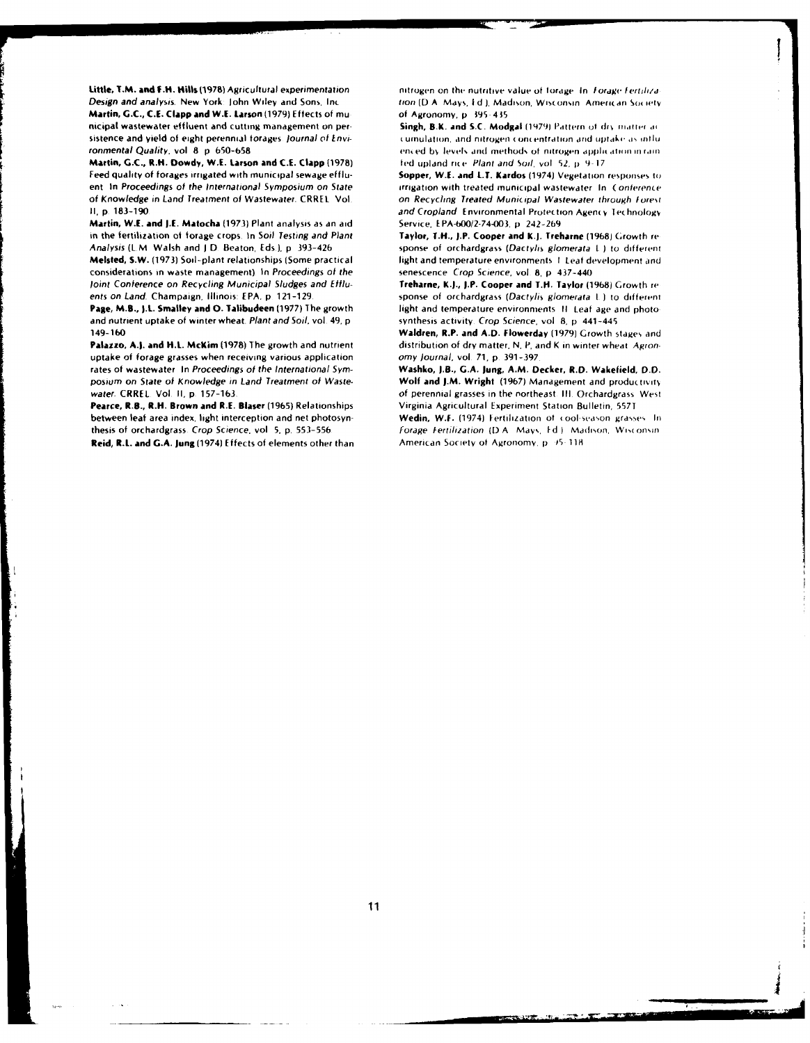Little, T.M. and F.H. Hills (1978) Agricultural experimentation Design and analysis. New York: John Wiley and Sons, Inc. Martin, G.C., C.E. Clapp and W.E. Larson (1979) Effects of municipal wastewater effluent and cutting management on persistence and yield of eight perennial forages. Journal of Environmental Quality, vol. 8 p. 650-658

Martin, G.C., R.H. Dowdy, W.E. Larson and C.E. Clapp (1978). Feed quality of forages imigated with municipal sewage effluent In Proceedings of the International Symposium on State of Knowledge in Land Treatment of Wastewater. CRREL Vol. II, p. 183-190.

Martin, W.E. and J.E. Matocha (1973) Plant analysis as an aid in the fertilization of forage crops. In Soil Testing and Plant Analysis (L.M. Walsh and J.D. Beaton, Eds.), p. 393-426

Melsted, S.W. (1973) Soil-plant relationships (Some practical considerations in waste management). In Proceedings of the Joint Conference on Recycling Municipal Sludges and Effluents on Land. Champaign, Illinois: EPA, p. 121-129.

Page, M.B., J.L. Smalley and O. Talibudeen (1977) The growth and nutrient uptake of winter wheat. Plant and Soil, vol. 49, p. 149-160

Palazzo, A.J. and H.L. McKim (1978) The growth and nutrient uptake of forage grasses when receiving various application rates of wastewater. In Proceedings of the International Symposium on State of Knowledge in Land Treatment of Wastewater. CRREL. Vol. II, p. 157-163.

Pearce, R.B., R.H. Brown and R.E. Blaser (1965) Relationships between leaf area index, light interception and net photosynthesis of orchardgrass. Crop Science, vol. 5, p. 553-556

Reid, R.L. and G.A. Jung (1974) Effects of elements other than

nitrogen on the nutritive value of forage. In Forage Fertilization (D.A. Mays, Ed.), Madison, Wisconsin. American Society of Agronomy, p. 395-435

Singh, B.K. and S.C. Modgal (1979) Pattern of dry matter ac cumulation, and nitrogen concentration and uptake as influenced by levels and methods of nitrogen application in rain fed upland rice. Plant and Soil, vol. 52, p. 9-17

Sopper, W.E. and L.T. Kardos (1974) Vegetation responses to irrigation with treated municipal wastewater. In: Conference on Recycling Treated Municipal Wastewater through Forest and Cropland. Environmental Protection Agency Technology Service EPA-600/2-74-003 n 242-269

Taylor, T.H., J.P. Cooper and K.J. Treharne (1968) Growth re sponse of orchardgrass (Dactylis glomerata L.) to different light and temperature environments 1 Leaf development and senescence Crop Science, vol. 8 p. 437-440

Treharne, K.J., J.P. Cooper and T.H. Taylor (1968) Growth re sponse of orchardgrass (Dactylis glomerata L.) to different light and temperature environments. If Leaf age and photosynthesis activity. Crop Science, vol. 8, p. 441-445

Waldren, R.P. and A.D. Flowerday (1979) Growth stages and distribution of dry matter, N, P, and K in winter wheat Agronomy Journal, vol. 71, p. 391-397

Washko, J.B., G.A. Jung, A.M. Decker, R.D. Wakefield, D.D. Wolf and J.M. Wright (1967) Management and productivity of perennial grasses in the northeast. III. Orchardgrass. West Virginia Agricultural Experiment Station Bulletin, 5571

Wedin, W.F. (1974) Fertilization of cool-season grasses. In Forage Fertilization (D.A. Mays, Ed.) Madison, Wisconsin American Society of Agronomy, p. 35-118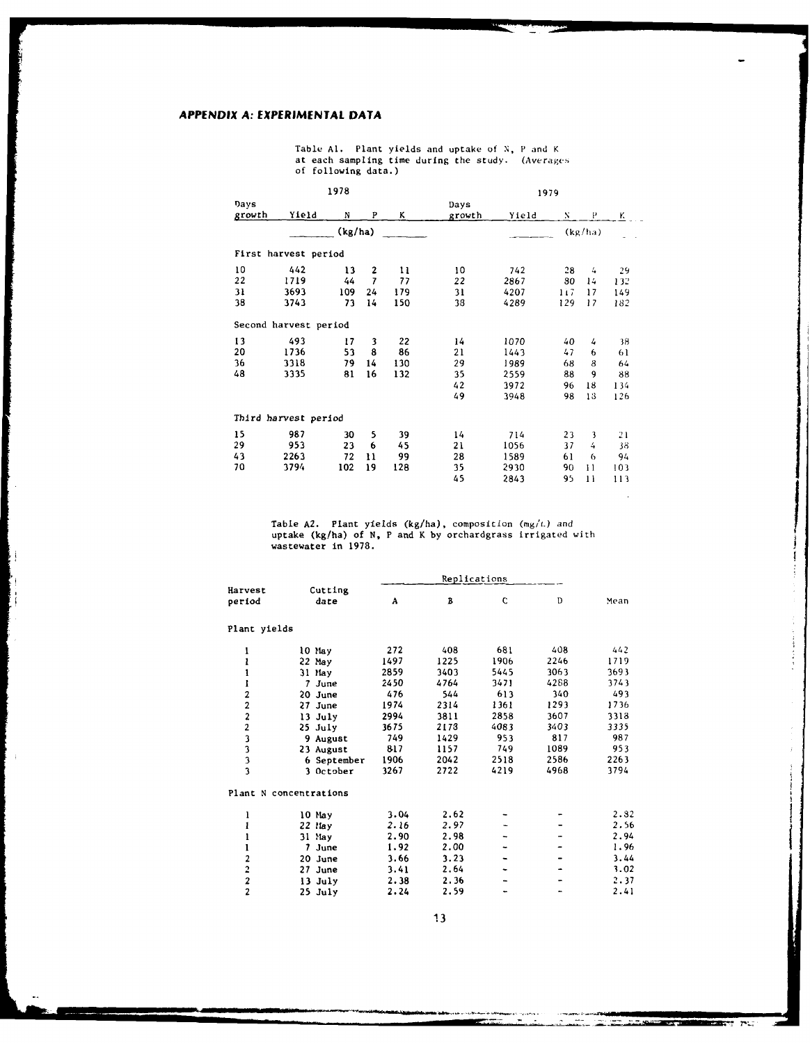# **APPENDIX A: EXPERIMENTAL DATA**

i<br>Fi

÷,

Table Al. Plant yields and uptake of N, P and K<br>at each sampling time during the study. (Averages<br>of following data.)

| 1978   |                       |         |                |     | 1979   |       |     |         |     |
|--------|-----------------------|---------|----------------|-----|--------|-------|-----|---------|-----|
| Days   |                       |         |                |     | Days   |       |     |         |     |
| growth | Yield                 | N       | P              | ĸ   | growth | Yield | N   | P       | κ   |
|        |                       | (kg/ha) |                |     |        |       |     | (kg/ha) |     |
|        | First harvest period  |         |                |     |        |       |     |         |     |
| 10     | 442                   | 13      | 2              | 11  | 10     | 742   | 28  | 4       | 29  |
| 22     | 1719                  | 44      | $\overline{1}$ | 77  | 22     | 2867  | 80  | 14      | 132 |
| 31     | 3693                  | 109     | 24             | 179 | 31     | 4207  | 117 | 17      | 149 |
| 38     | 3743                  | 73      | 14             | 150 | 38     | 4289  | 129 | 17      | 182 |
|        | Second harvest period |         |                |     |        |       |     |         |     |
| 13     | 493                   | 17      | 3              | 22  | 14     | 1070  | 40  | 4       | 38  |
| 20     | 1736                  | 53      | 8              | 86  | 21     | 1443  | 47  | 6       | 61  |
| 36     | 3318                  | 79      | 14             | 130 | 29     | 1989  | 68  | 8       | 64  |
| 48     | 3335                  | 81      | 16             | 132 | 35     | 2559  | 88  | 9       | 88  |
|        |                       |         |                |     | 42     | 3972  | 96  | 18      | 134 |
|        |                       |         |                |     | 49     | 3948  | 98  | 13      | 126 |
|        | Third harvest period  |         |                |     |        |       |     |         |     |
| 15     | 987                   | 30      | 5              | 39  | 14     | 714   | 23  | 3       | 21  |
| 29     | 953                   | 23      | 6              | 45  | 21     | 1056  | 37  | 4       | 38  |
| 43     | 2263                  | 72      | Ħ              | 99  | 28     | 1589  | 61  | 6       | 94  |
| 70     | 3794                  | 102     | 19             | 128 | 35     | 2930  | 90  | 11      | 103 |
|        |                       |         |                |     | 45     | 2843  | 95  | 11      | 113 |

Table **A2.** Plant yields (kg/ha), composition (mg/L) and uptake (kg/ha) of N, P and K by orchardgrass irrigated with wastewater in 1978.

|                                                 |                        |      | Replications |      |      |      |
|-------------------------------------------------|------------------------|------|--------------|------|------|------|
| Harvest<br>period                               | Cutting<br>date        | Α    | B            | C    | D    | Mean |
| Plant yields                                    |                        |      |              |      |      |      |
| ı                                               | 10 May                 | 272  | 408          | 681  | 408  | 442  |
| ı                                               | 22 May                 | 1497 | 1225         | 1906 | 2246 | 1719 |
|                                                 | 31 May                 | 2859 | 3403         | 5445 | 3063 | 3693 |
| I                                               | 7 June                 | 2450 | 4764         | 3471 | 4288 | 3743 |
| 2                                               | 20 June                | 476  | 544          | 613  | 340  | 493  |
| $\overline{a}$                                  | 27 June                | 1974 | 2314         | 1361 | 1293 | 1736 |
| $\overline{c}$                                  | 13 July                | 2994 | 3811         | 2858 | 3607 | 3318 |
| $\overline{\mathbf{c}}$                         | 25 July                | 3675 | 2178         | 4083 | 3403 | 3335 |
| $\begin{array}{c} 3 \\ 3 \\ 3 \\ 3 \end{array}$ | 9 August               | 749  | 1429         | 953  | 817  | 987  |
|                                                 | 23 August              | 817  | 1157         | 749  | 1089 | 953  |
|                                                 | 6 September            | 1906 | 2042         | 2518 | 2586 | 2263 |
|                                                 | 3 October              | 3267 | 2722         | 4219 | 4968 | 3794 |
|                                                 | Plant N concentrations |      |              |      |      |      |
| ı                                               | 10 May                 | 3.04 | 2.62         |      |      | 2.82 |
|                                                 | 22 May                 | 2.16 | 2.97         |      |      | 2.56 |
|                                                 | 31 May                 | 2.90 | 2.98         |      |      | 2.94 |
| ı                                               | 7<br>June              | 1.92 | 2.00         |      |      | 1.96 |
| 2                                               | 20 June                | 3.66 | 3.23         |      |      | 3.44 |
| $\overline{2}$                                  | 27 June                | 3.41 | 2.64         |      |      | 3.02 |
| $\frac{2}{2}$                                   | 13 July                | 2.38 | 2.36         |      |      | 2.37 |
|                                                 | $25$ July              | 2.24 | 2.59         |      |      | 2.41 |

**13**

**REAR STATE** 

 $-1$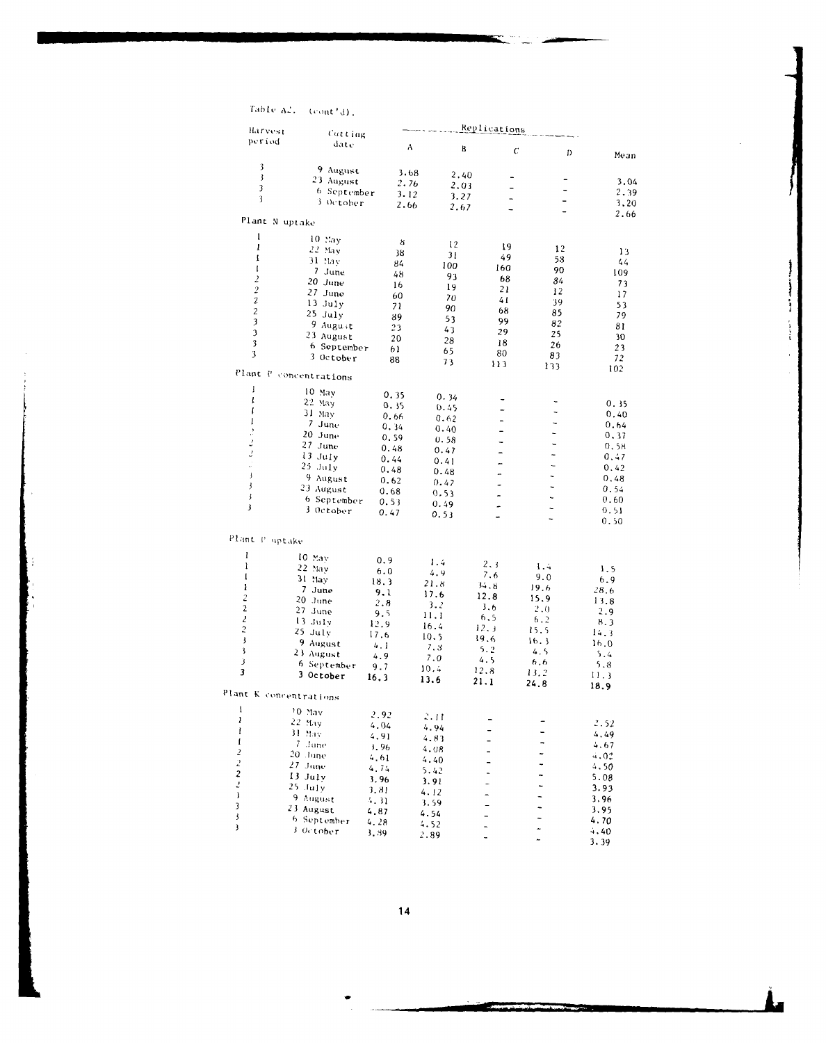Table  $A^2$ , (cont'd).

| Harvest                 | Replications             |      |      |                          |                          |              |
|-------------------------|--------------------------|------|------|--------------------------|--------------------------|--------------|
| period                  | Catting<br>date          |      |      |                          |                          |              |
|                         |                          | Α    | B    | C                        | D                        | Mean         |
| 3                       |                          |      |      |                          |                          |              |
| $\overline{\mathbf{3}}$ | 9 August                 | 3.68 | 2.40 |                          |                          |              |
| 3                       | 23 August                | 2.76 | 2.03 | $\overline{a}$           |                          | 3.04         |
|                         | 6 September              | 3.12 | 3.27 |                          |                          | 2.39         |
| 3                       | 3 October                | 2.66 | 2.67 |                          | $\overline{\phantom{0}}$ | 3,20         |
|                         |                          |      |      | $\overline{\phantom{0}}$ | $\blacksquare$           | 2.66         |
| Plant N uptake          |                          |      |      |                          |                          |              |
| $\mathbf{1}$            | $10$ May                 | 8    |      |                          |                          |              |
| ı                       | 22 May                   |      | 12   | 19                       | 12                       | 13           |
| Ţ                       | 31 May                   | 38   | 31   | 49                       | 58                       | 44           |
| $\mathbf I$             | 7 June                   | 84   | 100  | 160                      | 90                       | 109          |
| $\overline{2}$          | 20 June                  | 48   | 93   | 68                       | 84                       | 73           |
| $\overline{c}$          | 27 June                  | 16   | 19   | 21                       | 12                       | 17           |
| $\sqrt{2}$              | 13 July                  | 60   | 70   | 41                       | 39                       | 53           |
| $\mathbf{2}$            | $25$ July                | 71   | 90   | 68                       | 85                       | 79           |
| $\overline{\mathbf{3}}$ | 9 August                 | 39   | 53   | 99                       | 82                       |              |
| $\overline{\mathbf{3}}$ | 23 August                | 23   | 43   | 29                       | 25                       | 81           |
| 3                       |                          | 20   | 28   | 18                       | 26                       | 30           |
| 3                       | 6 September<br>3 October | 61   | 65   | 80                       | 83                       | 23           |
|                         |                          | 88   | 73   | 113                      | 133                      | 72<br>102    |
|                         | Plant P concentrations   |      |      |                          |                          |              |
| I                       | 10 May                   |      |      |                          |                          |              |
| $\mathbf{I}$            | 22 May                   | 0.35 | 0.34 |                          |                          | 0.35         |
| I                       | 31 May                   | 0.35 | 0.45 |                          |                          | 0.40         |
| I                       | 7 June                   | 0.66 | 0.62 | $\overline{\phantom{0}}$ | -                        | 0.64         |
| $\cdot$                 | 20 June                  | 0.34 | 0.40 | -                        | L,                       | 0.37         |
| 2                       | 27 June                  | 0.59 | 0.58 | -                        | ۳                        |              |
| $\cdot$                 | 13 July                  | 0.48 | 0.47 |                          | L,                       | 0.58         |
| J.                      | $25$ July                | 0.44 | 0.41 | -                        | L,                       | 0.47         |
| $\pmb{\cdot}$           | 9 August                 | 0.48 | 0.48 |                          | $\ddot{\phantom{0}}$     | 0.42<br>0.48 |
| 3                       |                          | 0.62 | 0.47 | ۰                        | $\overline{\phantom{0}}$ | 0.54         |
| j                       | 23 August                | 0.68 | 0.53 |                          | ÷.                       |              |
| $\mathbf{3}$            | 6 September              | 0.53 | 0.49 | -                        | L.                       | 0.60         |
|                         | 3 October                | 0.47 | 0.53 | ÷                        | ÷.                       | 0.51<br>0.50 |
|                         |                          |      |      |                          |                          |              |
| Plant P uptake          |                          |      |      |                          |                          |              |
| l                       | 10 May                   |      |      |                          |                          |              |
| ı                       | 22 May                   | 0.9  | 1.4  | 2, 3                     | 1.4                      | 1.5          |
| $\mathbf{I}$            | 31 May                   | 6.0  | 4.9  | 7.6                      | 9.0                      | 6.9          |
| ł                       | 7 June                   | 18.3 | 21.8 | 34.8                     | 19.6                     | 28.6         |
| $\overline{c}$          | 20 June                  | 9.1  | 17.6 | 12.8                     | 15.9                     | 13.8         |
| $\overline{c}$          | 27 June                  | 2.8  | 3.2  | 3.6                      | 2.0                      | 2.9          |
| $\mathbf{z}$            | 13 July                  | 9.5  | 11.1 | 6.5                      | 6.2                      | 8.3          |
| $\ddot{c}$              | $25$ July                | 12.9 | 16.4 | 12.3                     | 15.5                     | 14.3         |
| $\pmb{\cdot}$           | 9 August                 | 17.6 | 10.5 | 19.6                     | 16.3                     | 16.0         |
| 3                       | 23 August                | 4.1  | 7.3  | 5.2                      | 4.5                      | 5.4          |
| 3                       | 6 September              | 4.9  | 7.0  | 4.5                      | 6,6                      | 5.8          |
| 3                       | 3 October                | 9.7  | 10.4 | 12.8                     | 13.2                     | 11.3         |
|                         |                          | 16.3 | 13.6 | 21.1                     | 24.8                     | 18.9         |
| Plant K concentrations  |                          |      |      |                          |                          |              |
| I                       | <sup>10</sup> May        |      |      |                          |                          |              |
| ı                       | 22 May                   | 2.92 | 2.44 |                          |                          |              |
| I                       | 31 May                   | 4.04 | 4.94 |                          |                          | 2.52         |
| 1                       | 7 June                   | 4.91 | 4.83 |                          |                          | 4.49         |
| 2                       | 20 June                  | , 96 | 4.08 |                          |                          | 4.67         |
|                         |                          | 4.61 | 4.40 |                          |                          | 4.02         |
| $\frac{2}{2}$           | 27. June                 | 4.74 | 5.42 |                          |                          | 4,50         |
| $\overline{z}$          | $13$ July                | 3.96 | 3.91 | $\overline{\phantom{0}}$ | -                        | 5.08         |
| $\mathbf{j}$            | $25$ July                | 3.81 | 4.12 |                          | 4                        | 3.93         |
| 3                       | 9 August                 | 4.31 | 3.59 |                          |                          | 3.96         |
| 3                       | 23 August                | 4.87 | 4.54 |                          |                          | 3.95         |
| 3                       | 6 September              | 4.28 | 4.52 |                          |                          | 4.70         |
|                         | 3 October                | 3.89 | 2.89 |                          | *                        | 4.40         |
|                         |                          |      |      |                          |                          | 3.39         |

 $\frac{14}{1}$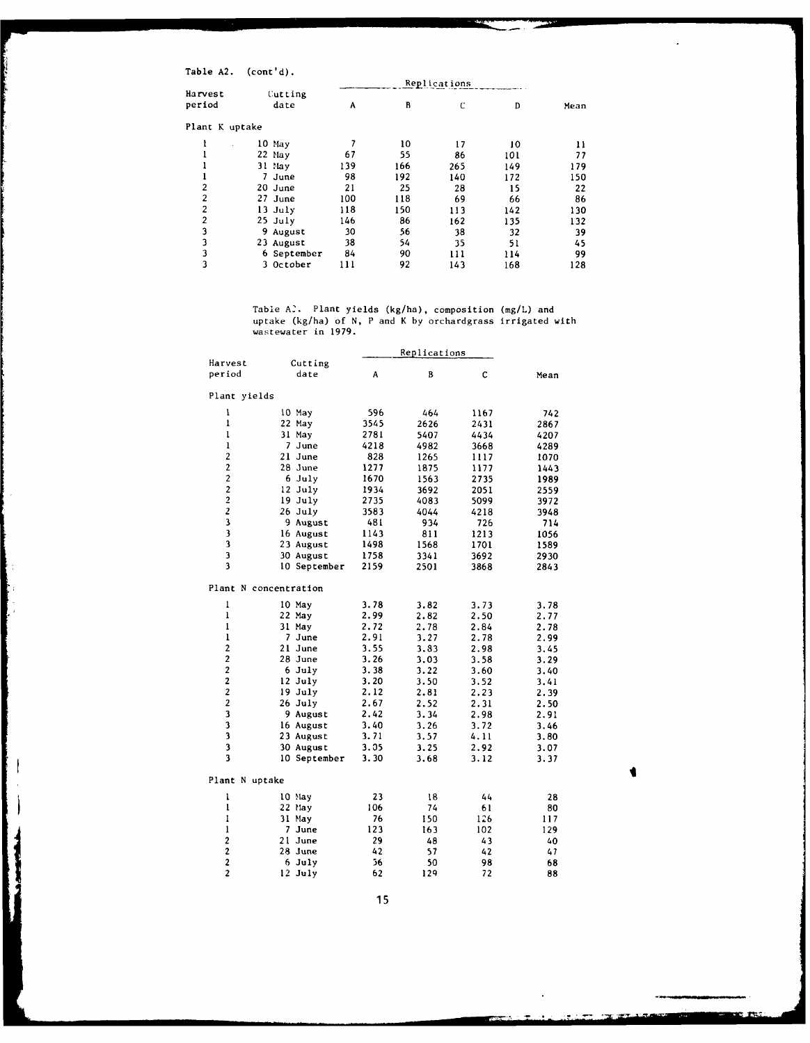Table A2. (cont'd).

F.

J

ļ

| .              | $\sim$ $\sim$ |     |     |     |     |      |  |  |  |
|----------------|---------------|-----|-----|-----|-----|------|--|--|--|
|                | Replications  |     |     |     |     |      |  |  |  |
| Harvest        | Cutting       |     |     |     |     |      |  |  |  |
| period         | date          | Α   | В   | C   | D   | Mean |  |  |  |
| Plant K uptake |               |     |     |     |     |      |  |  |  |
|                | 10 May        |     | 10  | 17  | 10  | 11   |  |  |  |
|                | 22 May        | 67  | 55  | 86  | 101 | 77   |  |  |  |
|                | 31 May        | 139 | 166 | 265 | 149 | 179  |  |  |  |
|                | June          | 98  | 192 | 140 | 172 | 150  |  |  |  |
| 2              | 20 June       | 21  | 25  | 28  | 15  | 22   |  |  |  |
| $\overline{c}$ | 27 June       | 100 | 118 | 69  | 66  | 86   |  |  |  |
| 2              | $13$ July     | 118 | 150 | 113 | 142 | 130  |  |  |  |
| $\overline{2}$ | $25$ July     | 146 | 86  | 162 | 135 | 132  |  |  |  |
| 3              | 9 August      | 30  | 56  | 38  | 32  | 39   |  |  |  |
| 3              | 23 August     | 38  | 54  | 35  | 51  | 45   |  |  |  |
| 3              | 6 September   | 84  | 90  | 111 | 114 | 99   |  |  |  |
| 3              | 3 October     | 111 | 92  | 143 | 168 | 128  |  |  |  |
|                |               |     |     |     |     |      |  |  |  |

Table **A'.** Plant yields (kg/ha), composition (mg/L) and uptake (kg/ha) of N, P and K by orchardgrass irrigated with wastewater in 1979.

|                         |                 |      | Replications |      |      |
|-------------------------|-----------------|------|--------------|------|------|
| Harvest                 | Cutting         |      |              |      |      |
| period                  | date            | A    | B            | C    | Mean |
| Plant yields            |                 |      |              |      |      |
| 1                       | 10 May          | 596  | 464          | 1167 | 742  |
| ı                       | 22 May          | 3545 | 2626         | 2431 | 2867 |
| 1                       | 31 May          | 2781 | 5407         | 4434 | 4207 |
| 1                       | 7 June          | 4218 | 4982         | 3668 | 4289 |
| $\overline{c}$          | 21 June         | 828  | 1265         | 1117 | 1070 |
| $\mathbf{2}$            | 28 June         | 1277 | 1875         | 1177 | 1443 |
| $\overline{c}$          | 6 July          | 1670 | 1563         | 2735 | 1989 |
| $\overline{c}$          | 12 July         | 1934 | 3692         | 2051 | 2559 |
| $\overline{\mathbf{c}}$ | 19 July         | 2735 | 4083         | 5099 | 3972 |
| $\overline{\mathbf{c}}$ | 26 July         | 3583 | 4044         | 4218 | 3948 |
| 3                       | 9 August        | 481  | 934          | 726  | 714  |
| $\overline{\mathbf{3}}$ | 16 August       | 1143 | 811          | 1213 | 1056 |
| 3                       | 23 August       | 1498 | 1568         | 1701 | 1589 |
| 3                       | 30 August       | 1758 | 3341         | 3692 | 2930 |
| 3                       | 10 September    | 2159 | 2501         | 3868 | 2843 |
| Plant N concentration   |                 |      |              |      |      |
| ı                       | 10 May          | 3.78 | 3.82         | 3.73 | 3.78 |
| ı                       | 22 May          | 2.99 | 2.82         | 2.50 | 2.77 |
| 1                       | 31 May          | 2.72 | 2.78         | 2.84 | 2.78 |
| ı                       | 7 June          | 2.91 | 3.27         | 2.78 | 2.99 |
| $\overline{2}$          | 21 June         | 3.55 | 3.83         | 2.98 | 3.45 |
| $\overline{c}$          | 28 June         | 3.26 | 3.03         | 3.58 | 3.29 |
| $\overline{2}$          | 6 July          | 3.38 | 3.22         | 3.60 | 3.40 |
| $\overline{2}$          | 12 July         | 3.20 | 3.50         | 3.52 | 3.41 |
| $\overline{\mathbf{c}}$ | $19$ July       | 2.12 | 2.81         | 2.23 | 2.39 |
| $\overline{2}$          | 26 July         | 2.67 | 2.52         | 2.31 | 2.50 |
| 3                       | <b>9 August</b> | 2.42 | 3.34         | 2.98 | 2.91 |
| 3                       | 16 August       | 3.40 | 3.26         | 3.72 | 3.46 |
| $\overline{\mathbf{3}}$ | 23 August       | 3.71 | 3.57         | 4.11 | 3.80 |
| 3                       | 30 August       | 3.05 | 3.25         | 2.92 | 3.07 |
| $\overline{\mathbf{3}}$ | 10 September    | 3.30 | 3.68         | 3.12 | 3.37 |
| Plant N uptake          |                 |      |              |      |      |
| ı                       | 10 May          | 23   | 18           | 44   | 28   |
| $\mathbf{I}$            | 22 May          | 106  | 74           | 61   | 80   |
| ı                       | 31 May          | 76   | 150          | 126  | 117  |
| 1                       | 7 June          | 123  | 163          | 102  | 129  |
| $\overline{\mathbf{2}}$ | 21 June         | 29   | 48           | 43   | 40   |
| $\overline{c}$          | 28 June         | 42   | 57           | 42   | 47   |
| $\overline{\mathbf{c}}$ | 6 July          | 56   | 50           | 98   | 68   |
| $\overline{c}$          | $12$ July       | 62   | 129          | 72   | 88   |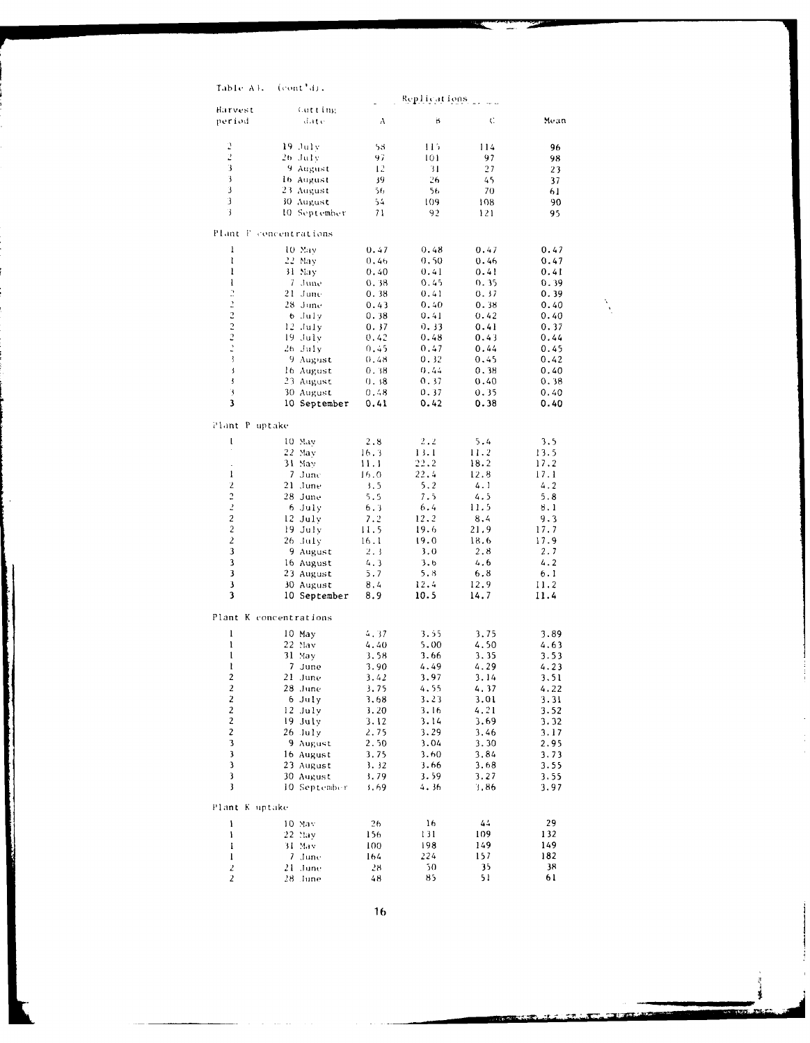| Table Al. | $(cont_0)$ . |  |
|-----------|--------------|--|
|-----------|--------------|--|

|                                  |                        |              | Replications |              |              |
|----------------------------------|------------------------|--------------|--------------|--------------|--------------|
| Harvest                          | Cutting                |              |              |              |              |
| period                           | date.                  | Α            | B            | C.           | Mean         |
|                                  |                        |              |              |              |              |
| 2<br>2                           | 19. July<br>26 July    | 53<br>97     | 115<br>101   | 114<br>97    | 96           |
| 3                                | 9 August               | 12           | 31           | 27           | 98<br>23     |
| 3                                | 16 August              | 39.          | 26           | 45           | 37           |
| 3                                | 23 August              | 56           | 56           | 70           | 61           |
| 3                                | 30 August              | 54           | 109          | 108          | 90           |
| 3                                | 10 September           | 71           | 92           | 121          | 95           |
|                                  |                        |              |              |              |              |
|                                  | Plant F concentrations |              |              |              |              |
| ı                                | 10 May                 | 0.47         | 0.48         | 0.47         | 0.47         |
| ı                                | 22 May                 | 0.46         | 0.50         | 0.46         | 0.47         |
| 1<br>I                           | 31 Nay<br>7. June      | 0.40         | 0.41<br>0.45 | 0.41         | 0.41<br>0.39 |
|                                  | 21 June                | 0.38<br>0.38 | 0.41         | 0.35<br>0.37 | 0.39         |
|                                  | 28 June                | 0.43         | 0,40         | 0.38         | 0.40         |
| $2 - 2 - 2 - 2 - 3$              | 6 July                 | 0.38         | 0.41         | 0.42         | 0.40         |
|                                  | $12$ July              | 0.37         | 0.33         | 0.41         | 0.37         |
|                                  | 19 July                | 0.42         | 0.48         | 0.43         | 0.44         |
|                                  | $26$ July              | 0.45         | 0.47         | 0.44         | 0.45         |
|                                  | 9 August               | 0.48         | 0.32         | 0.45         | 0.42         |
| ś                                | 16 August              | 0.38         | 0.44         | 0.38         | 0.40         |
| ţ                                | 23 August              | 0.38         | 0.37         | 0.40         | 0.38         |
| 3<br>3                           | 30 August              | 0.48         | 0.37         | 0.35         | 0.40         |
|                                  | 10 September           | 0.41         | 0.42         | 0.38         | 0.40         |
| Plant P uptake                   |                        |              |              |              |              |
| t                                | 10 May                 | 2.8          | 2, 2         | 5.4          | 3.5          |
|                                  | 22 May                 | 16.3         | 13.1         | 11.2         | 13.5         |
|                                  | 31 May                 | 11.1         | 22.2         | 18.2         | 17.2         |
| I                                | 7 June                 | 16.0         | 22.4         | 12.8         | 17.1         |
| 2                                | 21 June                | 3.5          | 5.2          | 4.1          | 4.2          |
| $\ddot{\cdot}$                   | 28 June                | 5.5          | 7.5          | 4.5          | 5.8          |
| $\overline{z}$                   | 6 July                 | 6.3          | 6.4          | 11.5         | 8.1          |
| $\overline{c}$                   | 12 July                | 7.2          | 12.2         | 8.4          | 9.3          |
| $\overline{c}$<br>$\overline{2}$ | 19 July                | 11.5         | 19.6<br>19.0 | 21.9<br>18.6 | 17.7         |
| 3                                | 26 July<br>9 August    | 16.1<br>2.3  | 3.0          | 2.8          | 17.9<br>2.7  |
| 3                                | 16 August              | 4.3          | 3.6          | 4.6          | 4.2          |
| 3                                | 23 August              | 5.7          | 5.8          | 6.8          | 6.1          |
| 3                                | 30 August              | 8.4          | 12.4         | 12.9         | 11.2         |
| 3                                | 10 September           | 8.9          | 10.5         | 14.7         | 11.4         |
|                                  |                        |              |              |              |              |
|                                  | Plant K concentrations |              |              |              |              |
| ı                                | 10 May                 | 4.37         | 3.55         | 3.75         | 3.89         |
| I                                | 22 May                 | 4.40         | 5.00         | 4.50         | 4.63         |
| 1<br>I                           | 31 May<br>7 June       | 3.58<br>3.90 | 3.66<br>4.49 | 3.35<br>4.29 | 3.53<br>4.23 |
| $\overline{2}$                   | 21 June                | 3.42         | 3.97         | 3.14         | 3.51         |
| 2                                | 28 June                | 3.75         | 4.55         | 4.37         | 4.22         |
| $\sqrt{2}$                       | 6 July                 | 3.68         | 3.23         | 3.01         | 3.31         |
| $\boldsymbol{2}$                 | 12 July                | 3.20         | 3.16         | 4.21         | 3.52         |
| $\boldsymbol{2}$                 | 19 July                | 3.12         | 3.14         | 3.69         | 3.32         |
| $\overline{c}$                   | 26 July                | 2.75         | 3.29         | 3.46         | 3.17         |
| 3                                | 9 August               | 2.50         | 3.04         | 3.30         | 2.95         |
| 3                                | 16 August              | 3.75         | 3.60         | 3.84         | 3.73         |
| 3<br>3                           | 23 August<br>30 August | 3.32<br>3.79 | 3.66<br>3.59 | 3.68         | 3.55<br>3.55 |
| 3                                | 10 September           | s.69         | 4.36         | 3.27<br>3.86 | 3.97         |
|                                  |                        |              |              |              |              |
| Plant K uptake                   |                        |              |              |              |              |
| I<br>ı                           | 10 May<br>22 May       | 26<br>156    | 16<br>131    | 44<br>109    | 29<br>132    |
| ı                                | 31 May                 | 100          | 198          | 149          | 149          |
| 1                                | 7<br>June              | 164          | 224          | 157          | 182          |
| 2                                | 21<br>June             | 28           | 50           | 35           | 38           |
| 2                                | 28. June               | 48           | 85           | 51           | 61           |

 $\overline{16}$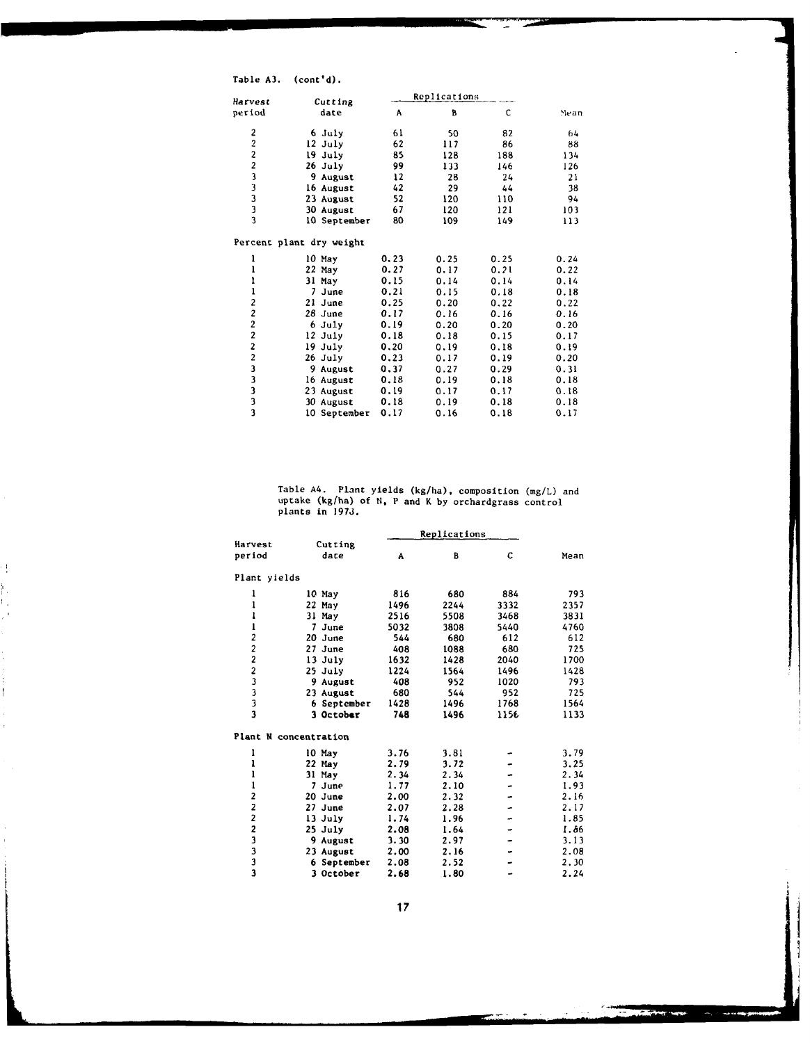Table **A3.** (cont'd).

 $\frac{1}{2}$ 

ti<br>2

 $\frac{1}{2}$ 

 $\frac{1}{1}$ 

| Harvest                                         | Cutting                  |      | Replications |      |       |
|-------------------------------------------------|--------------------------|------|--------------|------|-------|
| period                                          | date                     | Α    | B            | C    | Me an |
| 2                                               | 6 July                   | 61   | 50           | 82   | 64    |
| $\frac{2}{2}$                                   | 12 July                  | 62   | 117          | 86   | 88    |
|                                                 | 19 July                  | 85   | 128          | 188  | 134   |
|                                                 | 26 July                  | 99   | 133          | 146  | 126   |
| $\begin{array}{c} 2 \\ 3 \\ 3 \\ 3 \end{array}$ | 9 August                 | 12   | 28           | 24   | 21    |
|                                                 | 16 August                | 42   | 29           | 44   | 38    |
|                                                 | 23 August                | 52   | 120          | 110  | 94    |
| $\frac{3}{3}$                                   | 30 August                | 67   | 120          | 121  | 103   |
|                                                 | 10 September             | 80   | 109          | 149  | 113   |
|                                                 | Percent plant dry weight |      |              |      |       |
| ı                                               | 10 May                   | 0.23 | 0.25         | 0.25 | 0.24  |
| ı                                               | 22 May                   | 0.27 | 0.17         | 0.21 | 0.22  |
| ı                                               | 31 May                   | 0.15 | 0.14         | 0.14 | 0.14  |
| $\bf{l}$                                        | 7 June                   | 0.21 | 0.15         | 0.18 | 0.18  |
| $\frac{2}{2}$                                   | 21 June                  | 0.25 | 0.20         | 0.22 | 0.22  |
|                                                 | 28 June                  | 0.17 | 0.16         | 0.16 | 0.16  |
| $\frac{2}{2}$                                   | $6$ July                 | 0.19 | 0.20         | 0.20 | 0.20  |
|                                                 | $12$ July                | 0.18 | 0.18         | 0.15 | 0.17  |
|                                                 | 19 July                  | 0.20 | 0.19         | 0.18 | 0.19  |
|                                                 | $26$ July                | 0.23 | 0.17         | 0.19 | 0.20  |
|                                                 | 9 August                 | 0.37 | 0.27         | 0.29 | 0.31  |
|                                                 | 16 August                | 0.18 | 0.19         | 0.18 | 0.18  |
| 2 2 3 3 3 3 3 3                                 | 23 August                | 0.19 | 0.17         | 0.17 | 0.18  |
|                                                 | 30 August                | 0.18 | 0.19         | 0.18 | 0.18  |
|                                                 | 10 September             | 0.17 | 0.16         | 0.18 | 0.17  |
|                                                 |                          |      |              |      |       |

Table A4. Plant yields (kg/ha), composition (mg/L) and uptake (kg/ha) of N1, P and K by orchardgrass control plants in **1973.**

|                         |                       |      | Replications |      |      |
|-------------------------|-----------------------|------|--------------|------|------|
| Harvest                 | Cutting               |      |              |      |      |
| period                  | date                  | A    | B            | C    | Mean |
| Plant yields            |                       |      |              |      |      |
| ı                       | 10 May                | 816  | 680          | 884  | 793  |
| ı                       | $22$ May              | 1496 | 2244         | 3332 | 2357 |
| ı                       | 31 May                | 2516 | 5508         | 3468 | 3831 |
| ı                       | 7 June                | 5032 | 3808         | 5440 | 4760 |
| 2                       | 20 June               | 544  | 680          | 612  | 612  |
| $\overline{\mathbf{c}}$ | 27 June               | 408  | 1088         | 680  | 725  |
| $\overline{\mathbf{c}}$ | $13$ July             | 1632 | 1428         | 2040 | 1700 |
| $\overline{\mathbf{c}}$ | 25 July               | 1224 | 1564         | 1496 | 1428 |
| 3                       | 9 August              | 408  | 952          | 1020 | 793  |
|                         | 23 August             | 680  | 544          | 952  | 725  |
| 3<br>3<br>3             | 6 September           | 1428 | 1496         | 1768 | 1564 |
|                         | 3 October             | 748  | 1496         | 1156 | 1133 |
|                         | Plant N concentration |      |              |      |      |
| ı                       | 10 May                | 3.76 | 3.81         |      | 3.79 |
| ı                       | 22 May                | 2.79 | 3.72         |      | 3.25 |
| ı                       | 31 May                | 2.34 | 2.34         |      | 2.34 |
| $\mathbf{1}$            | 7 June                | 1.77 | 2.10         |      | 1.93 |
| 2                       | 20 June               | 2.00 | 2.32         |      | 2.16 |
| 2                       | 27 June               | 2.07 | 2.28         |      | 2.17 |
| $\overline{\mathbf{c}}$ | 13 July               | 1.74 | 1.96         |      | 1.85 |
|                         | $25$ July             | 2.08 | 1.64         |      | 1.86 |
| $\frac{2}{3}$           | 9 August              | 3.30 | 2.97         |      | 3.13 |
|                         | 23 August             | 2.00 | 2.16         |      | 2.08 |
| 3<br>3<br>3             | 6 September           | 2.08 | 2.52         |      | 2.30 |
|                         | 3 October             | 2.68 | 1.80         |      | 2.24 |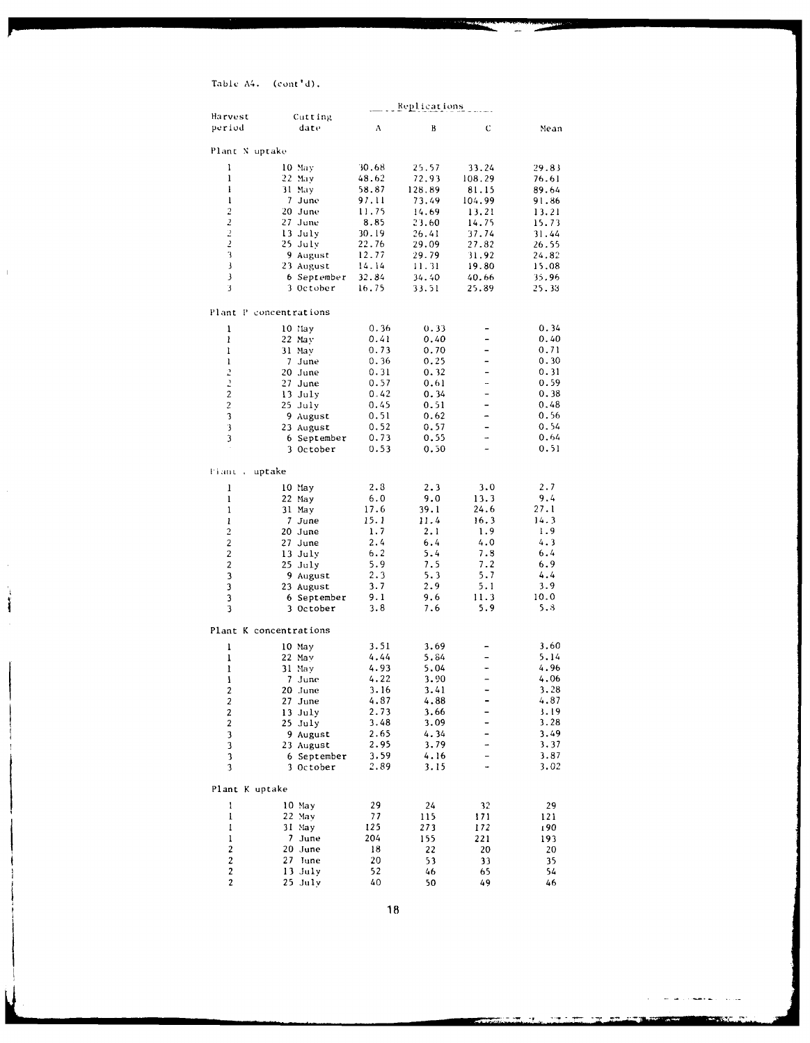# Table A4. (cont'd).

 $\bar{\rm I}$ 

 $\hat{\mathcal{A}}$ 

 $\hat{\mathcal{A}}$ 

Í

|                          |                        |       | <u>Replications</u> |                          |       |
|--------------------------|------------------------|-------|---------------------|--------------------------|-------|
| Harvest                  | Cutting                |       |                     |                          |       |
| period                   | date                   | A     | B                   | C                        | Mean  |
|                          |                        |       |                     |                          |       |
| Plant N uptake           |                        |       |                     |                          |       |
| ı                        | 10 May                 | 30.68 | 25.57               | 33.24                    | 29.83 |
| ı                        | 22 May                 | 48.62 | 72.93               | 108.29                   | 76.61 |
| $\mathbf{l}$             | 31 May                 | 58.87 | 128.89              | 81.15                    | 89.64 |
| ı                        | 7 June                 | 97.11 | 73.49               | 104.99                   | 91.86 |
| $\overline{c}$           | 20 June                | 11.75 | 14.69               | 13.21                    | 13.21 |
| $\overline{2}$           | 27 June                | 8.85  | 23.60               | 14.75                    | 15.73 |
| $\overline{\mathcal{L}}$ | 13 July                | 30.19 | 26.41               | 37.74                    | 31.44 |
| 2                        | 25 July                | 22.76 | 29.09               | 27.82                    | 26.55 |
| 3                        | 9 August               | 12.77 | 29.79               | 31.92                    | 24.82 |
| 3                        | 23 August              | 14.14 | 11.31               | 19.80                    | 15.08 |
| 3                        | 6 September            | 32.84 | 34.40               | 40.66                    | 35.96 |
| 3                        | 3 October              | 16.75 | 33.51               | 25.89                    | 25.33 |
|                          |                        |       |                     |                          |       |
|                          | Plant P concentrations |       |                     |                          |       |
| ì                        | 10 May                 | 0.36  | 0.33                | $\overline{\phantom{0}}$ | 0.34  |
| ı                        | 22 May                 | 0.41  | 0.40                | -                        | 0.40  |
| 1                        | 31 May                 | 0.73  | 0.70                | -                        | 0.71  |
| $\mathbf{I}$             | 7 June                 | 0.36  | 0.25                | -                        | 0.30  |
| 2                        | 20 June                | 0.31  | 0.32                | $\overline{a}$           | 0.31  |
| $\overline{z}$           | 27 June                | 0.57  | 0.61                | -                        | 0.59  |
| $\overline{2}$           | 13 July                | 0.42  | 0.34                | -                        | 0.38  |
| $\overline{\mathbf{c}}$  | $25$ July              | 0.45  | 0.51                |                          | 0.48  |
| 3                        | 9 August               | 0.51  | 0.62                | -                        | 0.56  |
| 3                        | 23 August              | 0.52  | 0.57                | -                        | 0.54  |
| 3                        | 6 September            | 0.73  | 0.55                | 4                        | 0.64  |
|                          | 3 October              | 0.53  | 0.50                | -                        | 0.51  |
| Fiant c                  | uptake                 |       |                     |                          |       |
|                          | 10 May                 | 2.3   | 2.3                 | 3.0                      | 2.7   |
| ı<br>$\mathbf{1}$        | 22 May                 | 6.0   | 9.0                 | 13.3                     | 9.4   |
| $\mathbf{1}$             |                        | 17.6  | 39.1                | 24.6                     | 27.1  |
| ı                        | 31 May<br>7 June       | 15.1  | 11.4                | 16.3                     | 14.3  |
| 2                        | 20 June                | 1.7   | 2.1                 | 1.9                      | 1.9   |
| 2                        | 27 June                | 2.4   | 6.4                 | 4.0                      | 4.3   |
| 2                        | 13 July                | 6.2   | 5.4                 | 7.8                      | 6.4   |
| $\overline{2}$           | 25 July                | 5.9   | 7.5                 | 7.2                      | 6.9   |
| 3                        | 9 August               | 2.3   | 5.3                 | 5.7                      | 4.4   |
| 3                        | 23 August              | 3.7   | 2.9                 | 5.1                      | 3.9   |
| 3                        | 6 September            | 9.1   | 9.6                 | 11.3                     | 10.0  |
| 3                        | 3 October              | 3.8   | 7.6                 | 5.9                      | 5.8   |
|                          |                        |       |                     |                          |       |
|                          | Plant K concentrations |       |                     |                          |       |
| ı                        | $10$ May               | 3.51  | 3.69                |                          | 3.60  |
| $\mathbf{l}$             | 22 May                 | 4.44  | 5.84                |                          | 5.14  |
| ı                        | 31 May                 | 4.93  | 5.04                |                          | 4.96  |
| I                        | 7 June                 | 4.22  | 3.90                | -                        | 4.06  |
| $\overline{c}$           | 20 June                | 3.16  | 3.41                |                          | 3.28  |
| 2                        | 27 June                | 4.87  | 4.88                |                          | 4.87  |
| $\boldsymbol{2}$         | 13 July                | 2.73  | 3.66                |                          | 3.19  |
| 2                        | 25 July                | 3.48  | 3.09                |                          | 3.28  |
| $\mathbf{3}$             | 9 August               | 2.65  | 4.34                | -                        | 3.49  |
| 3                        | 23 August              | 2.95  | 3.79                | -                        | 3.37  |
| 3                        | 6 September            | 3.59  | 4.16                |                          | 3.87  |
| 3                        | 3 October              | 2.89  | 3.15                |                          | 3.02  |
| Plant K uptake           |                        |       |                     |                          |       |
| ı                        | 10 May                 | 29    | 24                  | 32                       | 29    |
| I                        | $22$ May               | 77    | 115                 | 171                      | 121   |
| 1                        | 31 May                 | 125   | 273                 | 172                      | 190   |
| ı                        | 7 June                 | 204   | 155                 | 221                      | 193   |
| $\boldsymbol{2}$         | 20 June                | 18    | 22                  | 20                       | 20    |
| $\overline{\mathbf{c}}$  | 27 June                | 20    | 53                  | 33                       | 35    |
| $\mathbf 2$              | 13 July                | 52    | 46                  | 65                       | 54    |
| $\overline{\mathbf{c}}$  | 25 July                | 40    | 50                  | 49                       | 46    |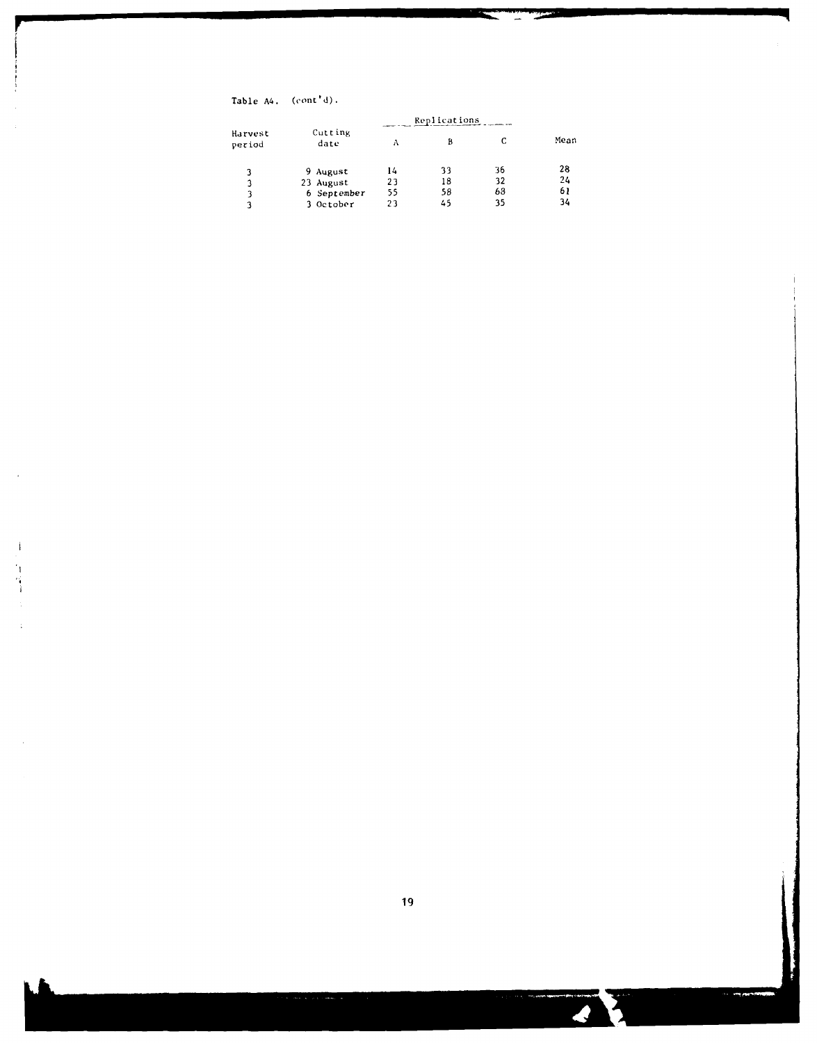Table A4. (cont'd) **.**

 $\overline{a}$ 

 $\mathbf{j}$ h

 $\ddot{\phantom{0}}$ 

| Harvest<br>period |                 | Replications |    |    |      |
|-------------------|-----------------|--------------|----|----|------|
|                   | Cutting<br>date | Λ            | В  |    | Mean |
| 3                 | 9 August        | 14           | 33 | 36 | 28   |
| 3                 | 23 August       | 23           | 18 | 32 | 24   |
| 3                 | 6 September     | 55           | 58 | 68 | 61   |
| 3                 | 3 October       | 23           | 45 | 35 | 34   |